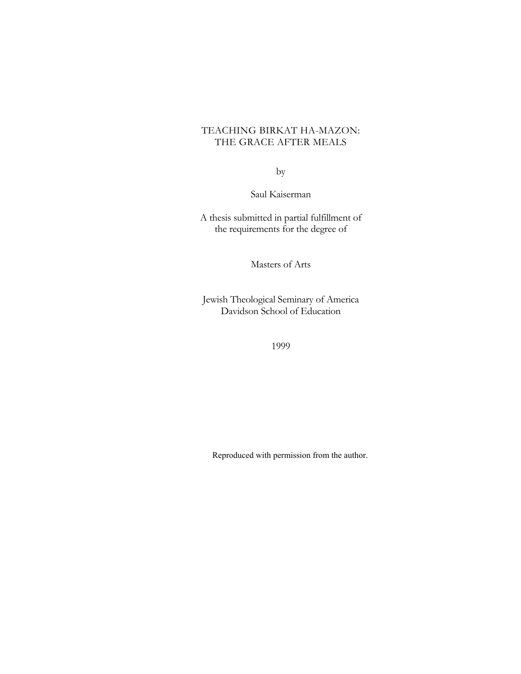# TEACHING BIRKAT HA-MAZON: THE GRACE AFTER MEALS

by

Saul Kaiserman

A thesis submitted in partial fulfillment of the requirements for the degree of

Masters of Arts

Jewish Theological Seminary of America Davidson School of Education

1999

Reproduced with permission from the author.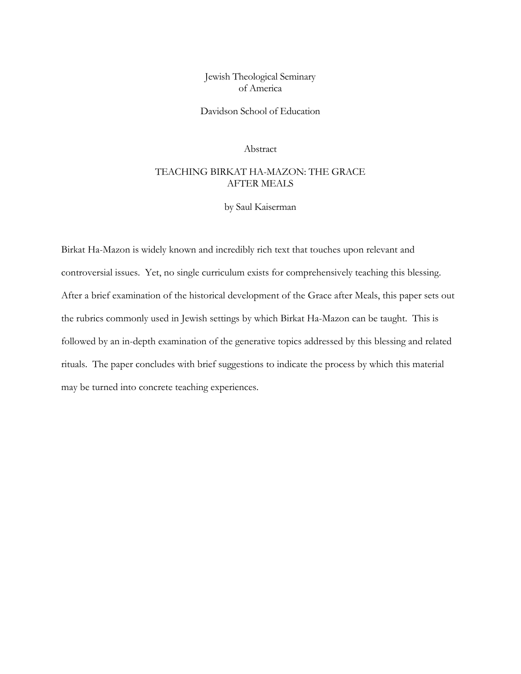Jewish Theological Seminary of America

Davidson School of Education

Abstract

## TEACHING BIRKAT HA-MAZON: THE GRACE AFTER MEALS

by Saul Kaiserman

Birkat Ha-Mazon is widely known and incredibly rich text that touches upon relevant and controversial issues. Yet, no single curriculum exists for comprehensively teaching this blessing. After a brief examination of the historical development of the Grace after Meals, this paper sets out the rubrics commonly used in Jewish settings by which Birkat Ha-Mazon can be taught. This is followed by an in-depth examination of the generative topics addressed by this blessing and related rituals. The paper concludes with brief suggestions to indicate the process by which this material may be turned into concrete teaching experiences.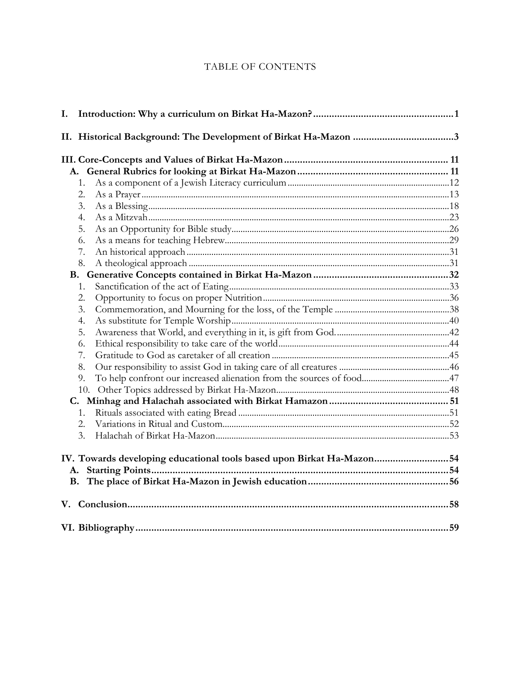# TABLE OF CONTENTS

| I.                                                                    |  |
|-----------------------------------------------------------------------|--|
| II. Historical Background: The Development of Birkat Ha-Mazon 3       |  |
|                                                                       |  |
|                                                                       |  |
| 1.                                                                    |  |
| 2.                                                                    |  |
| 3.                                                                    |  |
| 4.                                                                    |  |
| 5.                                                                    |  |
| 6.                                                                    |  |
| 7.                                                                    |  |
| 8.                                                                    |  |
|                                                                       |  |
| 1.                                                                    |  |
| 2.                                                                    |  |
| 3.                                                                    |  |
| 4.                                                                    |  |
| 5.                                                                    |  |
| 6.                                                                    |  |
| 7.                                                                    |  |
| 8.                                                                    |  |
| 9.                                                                    |  |
| 10.                                                                   |  |
|                                                                       |  |
| 1.                                                                    |  |
| 2.                                                                    |  |
| 3.                                                                    |  |
| IV. Towards developing educational tools based upon Birkat Ha-Mazon54 |  |
|                                                                       |  |
|                                                                       |  |
|                                                                       |  |
|                                                                       |  |
|                                                                       |  |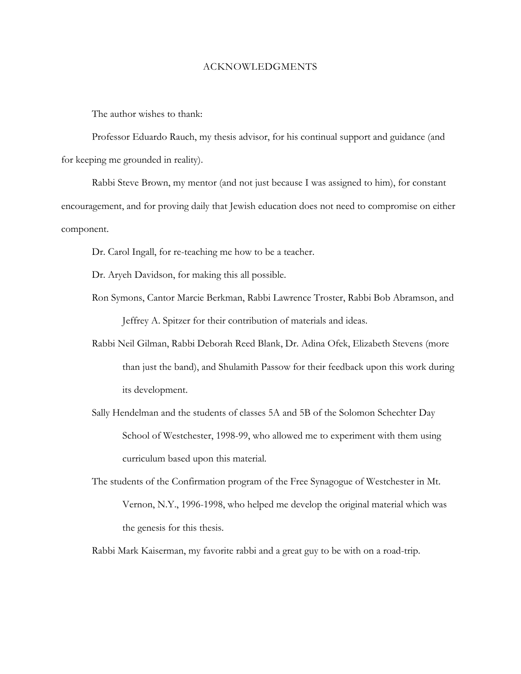#### ACKNOWLEDGMENTS

The author wishes to thank:

Professor Eduardo Rauch, my thesis advisor, for his continual support and guidance (and for keeping me grounded in reality).

Rabbi Steve Brown, my mentor (and not just because I was assigned to him), for constant encouragement, and for proving daily that Jewish education does not need to compromise on either component.

Dr. Carol Ingall, for re-teaching me how to be a teacher.

Dr. Aryeh Davidson, for making this all possible.

- Ron Symons, Cantor Marcie Berkman, Rabbi Lawrence Troster, Rabbi Bob Abramson, and Jeffrey A. Spitzer for their contribution of materials and ideas.
- Rabbi Neil Gilman, Rabbi Deborah Reed Blank, Dr. Adina Ofek, Elizabeth Stevens (more than just the band), and Shulamith Passow for their feedback upon this work during its development.
- Sally Hendelman and the students of classes 5A and 5B of the Solomon Schechter Day School of Westchester, 1998-99, who allowed me to experiment with them using curriculum based upon this material.
- The students of the Confirmation program of the Free Synagogue of Westchester in Mt. Vernon, N.Y., 1996-1998, who helped me develop the original material which was the genesis for this thesis.

Rabbi Mark Kaiserman, my favorite rabbi and a great guy to be with on a road-trip.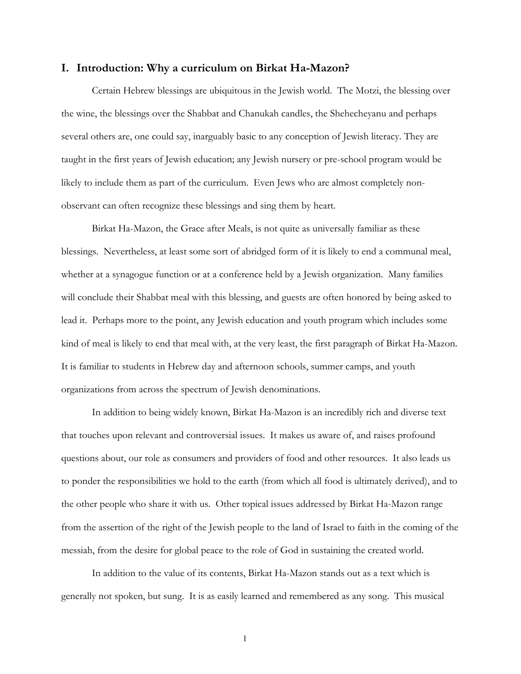### <span id="page-4-0"></span>**I. Introduction: Why a curriculum on Birkat Ha-Mazon?**

Certain Hebrew blessings are ubiquitous in the Jewish world. The Motzi, the blessing over the wine, the blessings over the Shabbat and Chanukah candles, the Shehecheyanu and perhaps several others are, one could say, inarguably basic to any conception of Jewish literacy. They are taught in the first years of Jewish education; any Jewish nursery or pre-school program would be likely to include them as part of the curriculum. Even Jews who are almost completely nonobservant can often recognize these blessings and sing them by heart.

Birkat Ha-Mazon, the Grace after Meals, is not quite as universally familiar as these blessings. Nevertheless, at least some sort of abridged form of it is likely to end a communal meal, whether at a synagogue function or at a conference held by a Jewish organization. Many families will conclude their Shabbat meal with this blessing, and guests are often honored by being asked to lead it. Perhaps more to the point, any Jewish education and youth program which includes some kind of meal is likely to end that meal with, at the very least, the first paragraph of Birkat Ha-Mazon. It is familiar to students in Hebrew day and afternoon schools, summer camps, and youth organizations from across the spectrum of Jewish denominations.

In addition to being widely known, Birkat Ha-Mazon is an incredibly rich and diverse text that touches upon relevant and controversial issues. It makes us aware of, and raises profound questions about, our role as consumers and providers of food and other resources. It also leads us to ponder the responsibilities we hold to the earth (from which all food is ultimately derived), and to the other people who share it with us. Other topical issues addressed by Birkat Ha-Mazon range from the assertion of the right of the Jewish people to the land of Israel to faith in the coming of the messiah, from the desire for global peace to the role of God in sustaining the created world.

In addition to the value of its contents, Birkat Ha-Mazon stands out as a text which is generally not spoken, but sung. It is as easily learned and remembered as any song. This musical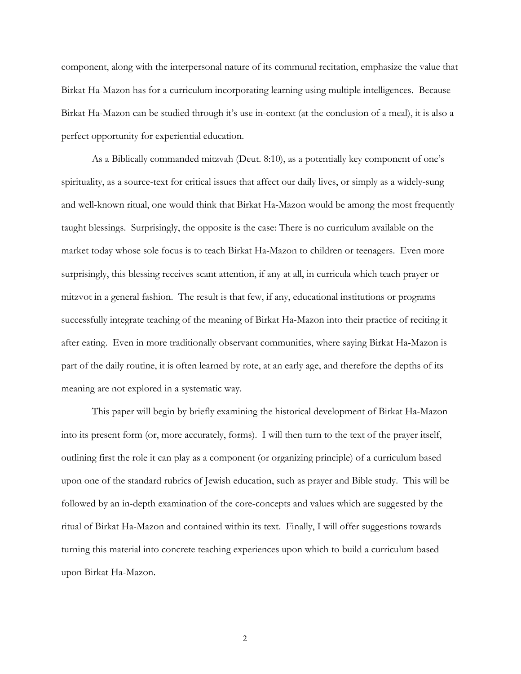component, along with the interpersonal nature of its communal recitation, emphasize the value that Birkat Ha-Mazon has for a curriculum incorporating learning using multiple intelligences. Because Birkat Ha-Mazon can be studied through it's use in-context (at the conclusion of a meal), it is also a perfect opportunity for experiential education.

As a Biblically commanded mitzvah (Deut. 8:10), as a potentially key component of one's spirituality, as a source-text for critical issues that affect our daily lives, or simply as a widely-sung and well-known ritual, one would think that Birkat Ha-Mazon would be among the most frequently taught blessings. Surprisingly, the opposite is the case: There is no curriculum available on the market today whose sole focus is to teach Birkat Ha-Mazon to children or teenagers. Even more surprisingly, this blessing receives scant attention, if any at all, in curricula which teach prayer or mitzvot in a general fashion. The result is that few, if any, educational institutions or programs successfully integrate teaching of the meaning of Birkat Ha-Mazon into their practice of reciting it after eating. Even in more traditionally observant communities, where saying Birkat Ha-Mazon is part of the daily routine, it is often learned by rote, at an early age, and therefore the depths of its meaning are not explored in a systematic way.

This paper will begin by briefly examining the historical development of Birkat Ha-Mazon into its present form (or, more accurately, forms). I will then turn to the text of the prayer itself, outlining first the role it can play as a component (or organizing principle) of a curriculum based upon one of the standard rubrics of Jewish education, such as prayer and Bible study. This will be followed by an in-depth examination of the core-concepts and values which are suggested by the ritual of Birkat Ha-Mazon and contained within its text. Finally, I will offer suggestions towards turning this material into concrete teaching experiences upon which to build a curriculum based upon Birkat Ha-Mazon.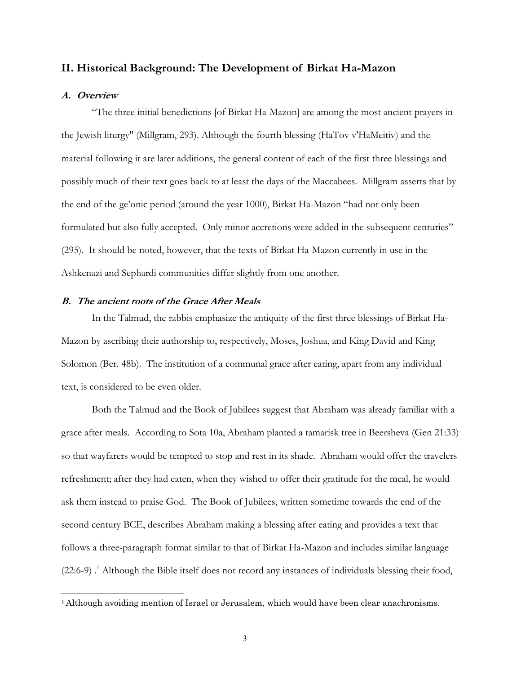## <span id="page-6-0"></span>**II. Historical Background: The Development of Birkat Ha-Mazon**

## **A. Overview**

 $\overline{a}$ 

"The three initial benedictions [of Birkat Ha-Mazon] are among the most ancient prayers in the Jewish liturgy" (Millgram, 293). Although the fourth blessing (HaTov v'HaMeitiv) and the material following it are later additions, the general content of each of the first three blessings and possibly much of their text goes back to at least the days of the Maccabees. Millgram asserts that by the end of the ge'onic period (around the year 1000), Birkat Ha-Mazon "had not only been formulated but also fully accepted. Only minor accretions were added in the subsequent centuries" (295). It should be noted, however, that the texts of Birkat Ha-Mazon currently in use in the Ashkenazi and Sephardi communities differ slightly from one another.

#### **B. The ancient roots of the Grace After Meals**

In the Talmud, the rabbis emphasize the antiquity of the first three blessings of Birkat Ha-Mazon by ascribing their authorship to, respectively, Moses, Joshua, and King David and King Solomon (Ber. 48b). The institution of a communal grace after eating, apart from any individual text, is considered to be even older.

Both the Talmud and the Book of Jubilees suggest that Abraham was already familiar with a grace after meals. According to Sota 10a, Abraham planted a tamarisk tree in Beersheva (Gen 21:33) so that wayfarers would be tempted to stop and rest in its shade. Abraham would offer the travelers refreshment; after they had eaten, when they wished to offer their gratitude for the meal, he would ask them instead to praise God. The Book of Jubilees, written sometime towards the end of the second century BCE, describes Abraham making a blessing after eating and provides a text that follows a three-paragraph format similar to that of Birkat Ha-Mazon and includes similar language  $(22.6-9)$ .<sup>1</sup> Although the Bible itself does not record any instances of individuals blessing their food,

<span id="page-6-1"></span><sup>&</sup>lt;sup>1</sup> Although avoiding mention of Israel or Jerusalem, which would have been clear anachronisms.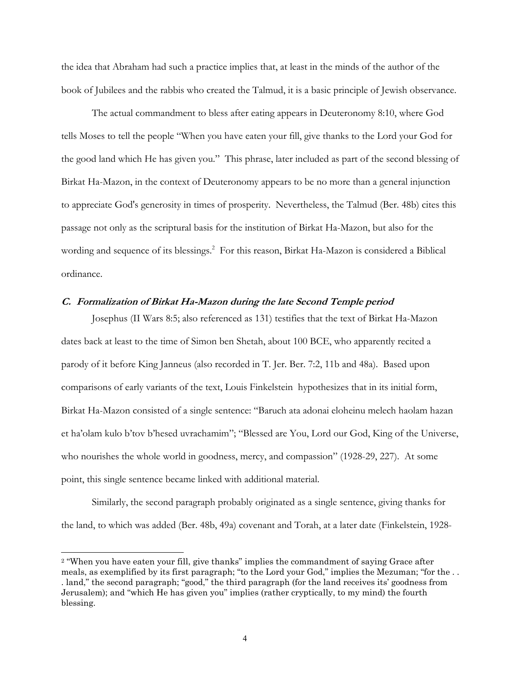the idea that Abraham had such a practice implies that, at least in the minds of the author of the book of Jubilees and the rabbis who created the Talmud, it is a basic principle of Jewish observance.

The actual commandment to bless after eating appears in Deuteronomy 8:10, where God tells Moses to tell the people "When you have eaten your fill, give thanks to the Lord your God for the good land which He has given you." This phrase, later included as part of the second blessing of Birkat Ha-Mazon, in the context of Deuteronomy appears to be no more than a general injunction to appreciate God's generosity in times of prosperity. Nevertheless, the Talmud (Ber. 48b) cites this passage not only as the scriptural basis for the institution of Birkat Ha-Mazon, but also for the wording and sequence of its blessings.<sup>2</sup> For this reason, Birkat Ha-Mazon is considered a Biblical ordinance.

## **C. Formalization of Birkat Ha-Mazon during the late Second Temple period**

Josephus (II Wars 8:5; also referenced as 131) testifies that the text of Birkat Ha-Mazon dates back at least to the time of Simon ben Shetah, about 100 BCE, who apparently recited a parody of it before King Janneus (also recorded in T. Jer. Ber. 7:2, 11b and 48a). Based upon comparisons of early variants of the text, Louis Finkelstein hypothesizes that in its initial form, Birkat Ha-Mazon consisted of a single sentence: "Baruch ata adonai eloheinu melech haolam hazan et ha'olam kulo b'tov b'hesed uvrachamim"; "Blessed are You, Lord our God, King of the Universe, who nourishes the whole world in goodness, mercy, and compassion" (1928-29, 227). At some point, this single sentence became linked with additional material.

Similarly, the second paragraph probably originated as a single sentence, giving thanks for the land, to which was added (Ber. 48b, 49a) covenant and Torah, at a later date (Finkelstein, 1928-

<span id="page-7-0"></span><sup>&</sup>lt;sup>2</sup> "When you have eaten your fill, give thanks" implies the commandment of saying Grace after meals, as exemplified by its first paragraph; "to the Lord your God," implies the Mezuman; "for the . . . land," the second paragraph; "good," the third paragraph (for the land receives its' goodness from Jerusalem); and "which He has given you" implies (rather cryptically, to my mind) the fourth blessing.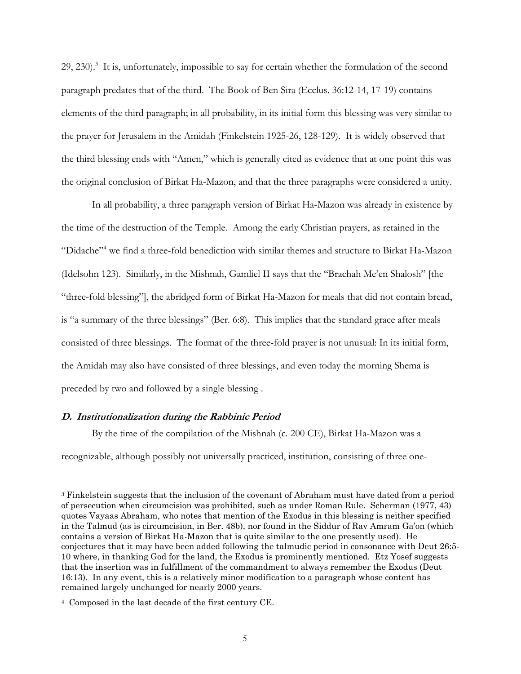29, 2[3](#page-8-0)0).<sup>3</sup> It is, unfortunately, impossible to say for certain whether the formulation of the second paragraph predates that of the third. The Book of Ben Sira (Ecclus. 36:12-14, 17-19) contains elements of the third paragraph; in all probability, in its initial form this blessing was very similar to the prayer for Jerusalem in the Amidah (Finkelstein 1925-26, 128-129). It is widely observed that the third blessing ends with "Amen," which is generally cited as evidence that at one point this was the original conclusion of Birkat Ha-Mazon, and that the three paragraphs were considered a unity.

In all probability, a three paragraph version of Birkat Ha-Mazon was already in existence by the time of the destruction of the Temple. Among the early Christian prayers, as retained in the "Didache"<sup>[4](#page-8-1)</sup> we find a three-fold benediction with similar themes and structure to Birkat Ha-Mazon (Idelsohn 123). Similarly, in the Mishnah, Gamliel II says that the "Brachah Me'en Shalosh" [the "three-fold blessing"], the abridged form of Birkat Ha-Mazon for meals that did not contain bread, is "a summary of the three blessings" (Ber. 6:8). This implies that the standard grace after meals consisted of three blessings. The format of the three-fold prayer is not unusual: In its initial form, the Amidah may also have consisted of three blessings, and even today the morning Shema is preceded by two and followed by a single blessing .

## **D. Institutionalization during the Rabbinic Period**

 $\overline{a}$ 

By the time of the compilation of the Mishnah (c. 200 CE), Birkat Ha-Mazon was a

recognizable, although possibly not universally practiced, institution, consisting of three one-

<span id="page-8-0"></span><sup>3</sup> Finkelstein suggests that the inclusion of the covenant of Abraham must have dated from a period of persecution when circumcision was prohibited, such as under Roman Rule. Scherman (1977, 43) quotes Vayaas Abraham, who notes that mention of the Exodus in this blessing is neither specified in the Talmud (as is circumcision, in Ber. 48b), nor found in the Siddur of Rav Amram Ga'on (which contains a version of Birkat Ha-Mazon that is quite similar to the one presently used). He conjectures that it may have been added following the talmudic period in consonance with Deut 26:5- 10 where, in thanking God for the land, the Exodus is prominently mentioned. Etz Yosef suggests that the insertion was in fulfillment of the commandment to always remember the Exodus (Deut 16:13). In any event, this is a relatively minor modification to a paragraph whose content has remained largely unchanged for nearly 2000 years.

<span id="page-8-1"></span><sup>4</sup> Composed in the last decade of the first century CE.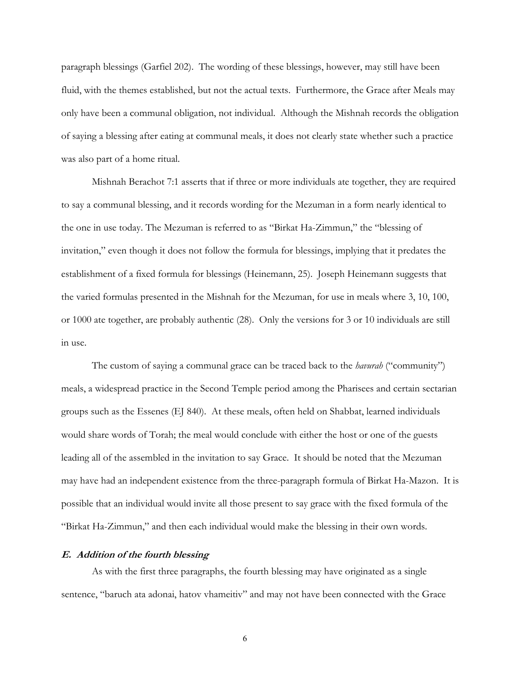paragraph blessings (Garfiel 202). The wording of these blessings, however, may still have been fluid, with the themes established, but not the actual texts. Furthermore, the Grace after Meals may only have been a communal obligation, not individual. Although the Mishnah records the obligation of saying a blessing after eating at communal meals, it does not clearly state whether such a practice was also part of a home ritual.

Mishnah Berachot 7:1 asserts that if three or more individuals ate together, they are required to say a communal blessing, and it records wording for the Mezuman in a form nearly identical to the one in use today. The Mezuman is referred to as "Birkat Ha-Zimmun," the "blessing of invitation," even though it does not follow the formula for blessings, implying that it predates the establishment of a fixed formula for blessings (Heinemann, 25). Joseph Heinemann suggests that the varied formulas presented in the Mishnah for the Mezuman, for use in meals where 3, 10, 100, or 1000 ate together, are probably authentic (28). Only the versions for 3 or 10 individuals are still in use.

The custom of saying a communal grace can be traced back to the *havurah* ("community") meals, a widespread practice in the Second Temple period among the Pharisees and certain sectarian groups such as the Essenes (EJ 840). At these meals, often held on Shabbat, learned individuals would share words of Torah; the meal would conclude with either the host or one of the guests leading all of the assembled in the invitation to say Grace. It should be noted that the Mezuman may have had an independent existence from the three-paragraph formula of Birkat Ha-Mazon. It is possible that an individual would invite all those present to say grace with the fixed formula of the "Birkat Ha-Zimmun," and then each individual would make the blessing in their own words.

### **E. Addition of the fourth blessing**

As with the first three paragraphs, the fourth blessing may have originated as a single sentence, "baruch ata adonai, hatov vhameitiv" and may not have been connected with the Grace

 $\sim$  6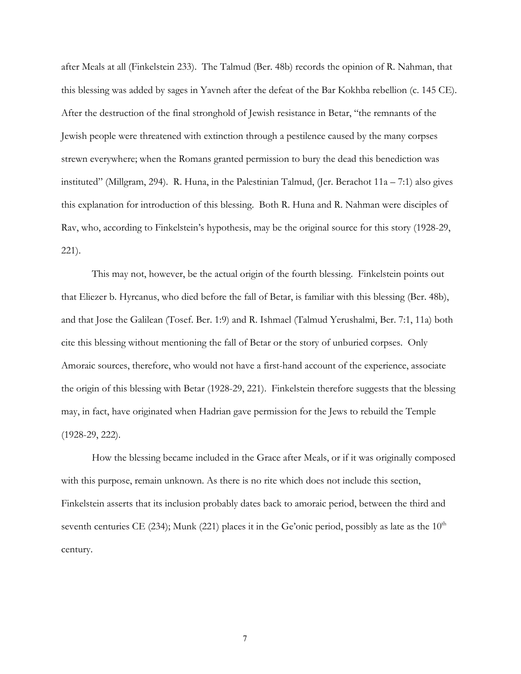after Meals at all (Finkelstein 233). The Talmud (Ber. 48b) records the opinion of R. Nahman, that this blessing was added by sages in Yavneh after the defeat of the Bar Kokhba rebellion (c. 145 CE). After the destruction of the final stronghold of Jewish resistance in Betar, "the remnants of the Jewish people were threatened with extinction through a pestilence caused by the many corpses strewn everywhere; when the Romans granted permission to bury the dead this benediction was instituted" (Millgram, 294). R. Huna, in the Palestinian Talmud, (Jer. Berachot 11a – 7:1) also gives this explanation for introduction of this blessing. Both R. Huna and R. Nahman were disciples of Rav, who, according to Finkelstein's hypothesis, may be the original source for this story (1928-29, 221).

This may not, however, be the actual origin of the fourth blessing. Finkelstein points out that Eliezer b. Hyrcanus, who died before the fall of Betar, is familiar with this blessing (Ber. 48b), and that Jose the Galilean (Tosef. Ber. 1:9) and R. Ishmael (Talmud Yerushalmi, Ber. 7:1, 11a) both cite this blessing without mentioning the fall of Betar or the story of unburied corpses. Only Amoraic sources, therefore, who would not have a first-hand account of the experience, associate the origin of this blessing with Betar (1928-29, 221). Finkelstein therefore suggests that the blessing may, in fact, have originated when Hadrian gave permission for the Jews to rebuild the Temple (1928-29, 222).

How the blessing became included in the Grace after Meals, or if it was originally composed with this purpose, remain unknown. As there is no rite which does not include this section, Finkelstein asserts that its inclusion probably dates back to amoraic period, between the third and seventh centuries CE (234); Munk (221) places it in the Ge'onic period, possibly as late as the  $10<sup>th</sup>$ century.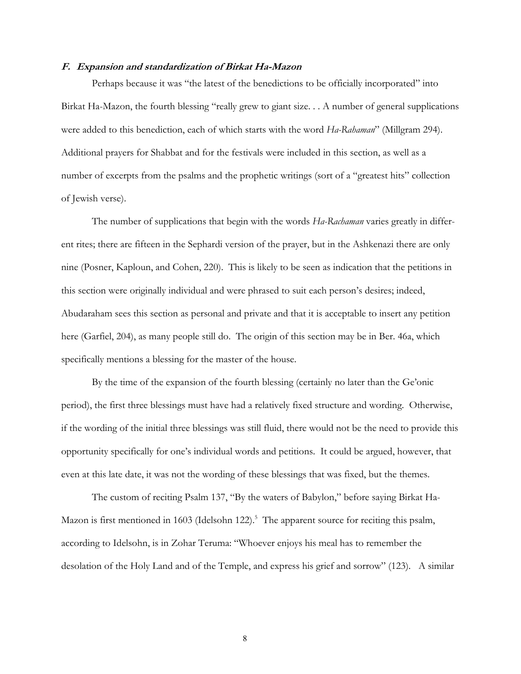#### **F. Expansion and standardization of Birkat Ha-Mazon**

Perhaps because it was "the latest of the benedictions to be officially incorporated" into Birkat Ha-Mazon, the fourth blessing "really grew to giant size. . . A number of general supplications were added to this benediction, each of which starts with the word *Ha-Rahaman*" (Millgram 294). Additional prayers for Shabbat and for the festivals were included in this section, as well as a number of excerpts from the psalms and the prophetic writings (sort of a "greatest hits" collection of Jewish verse).

The number of supplications that begin with the words *Ha-Rachaman* varies greatly in different rites; there are fifteen in the Sephardi version of the prayer, but in the Ashkenazi there are only nine (Posner, Kaploun, and Cohen, 220). This is likely to be seen as indication that the petitions in this section were originally individual and were phrased to suit each person's desires; indeed, Abudaraham sees this section as personal and private and that it is acceptable to insert any petition here (Garfiel, 204), as many people still do. The origin of this section may be in Ber. 46a, which specifically mentions a blessing for the master of the house.

By the time of the expansion of the fourth blessing (certainly no later than the Ge'onic period), the first three blessings must have had a relatively fixed structure and wording. Otherwise, if the wording of the initial three blessings was still fluid, there would not be the need to provide this opportunity specifically for one's individual words and petitions. It could be argued, however, that even at this late date, it was not the wording of these blessings that was fixed, but the themes.

<span id="page-11-0"></span>The custom of reciting Psalm 137, "By the waters of Babylon," before saying Birkat Ha-Mazon is first mentioned in 1603 (Idelsohn 122).<sup>5</sup> The apparent source for reciting this psalm, according to Idelsohn, is in Zohar Teruma: "Whoever enjoys his meal has to remember the desolation of the Holy Land and of the Temple, and express his grief and sorrow" (123). A similar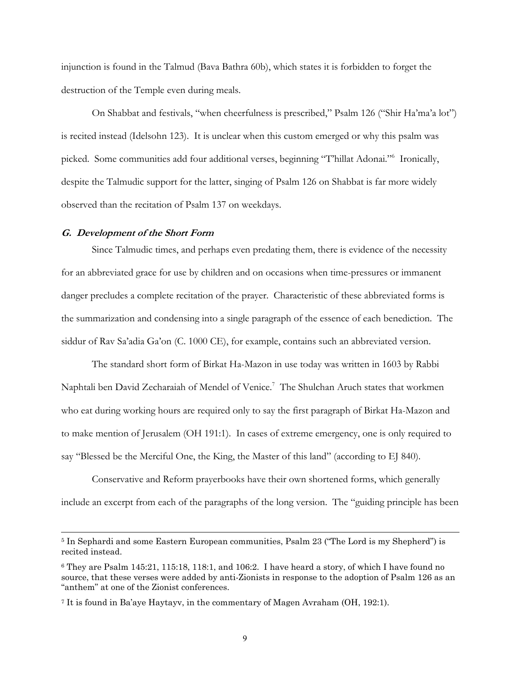injunction is found in the Talmud (Bava Bathra 60b), which states it is forbidden to forget the destruction of the Temple even during meals.

On Shabbat and festivals, "when cheerfulness is prescribed," Psalm 126 ("Shir Ha'ma'a lot") is recited instead (Idelsohn 123). It is unclear when this custom emerged or why this psalm was picked. Some communities add four additional verses, beginning "T'hillat Adonai."[6](#page-12-0) Ironically, despite the Talmudic support for the latter, singing of Psalm 126 on Shabbat is far more widely observed than the recitation of Psalm 137 on weekdays.

#### **G. Development of the Short Form**

 $\overline{a}$ 

Since Talmudic times, and perhaps even predating them, there is evidence of the necessity for an abbreviated grace for use by children and on occasions when time-pressures or immanent danger precludes a complete recitation of the prayer. Characteristic of these abbreviated forms is the summarization and condensing into a single paragraph of the essence of each benediction. The siddur of Rav Sa'adia Ga'on (C. 1000 CE), for example, contains such an abbreviated version.

The standard short form of Birkat Ha-Mazon in use today was written in 1603 by Rabbi Naphtali ben David Zecharaiah of Mendel of Venice.<sup>[7](#page-12-1)</sup> The Shulchan Aruch states that workmen who eat during working hours are required only to say the first paragraph of Birkat Ha-Mazon and to make mention of Jerusalem (OH 191:1). In cases of extreme emergency, one is only required to say "Blessed be the Merciful One, the King, the Master of this land" (according to EJ 840).

Conservative and Reform prayerbooks have their own shortened forms, which generally include an excerpt from each of the paragraphs of the long version. The "guiding principle has been

<sup>5</sup> In Sephardi and some Eastern European communities, Psalm 23 ("The Lord is my Shepherd") is recited instead.

<span id="page-12-0"></span><sup>6</sup> They are Psalm 145:21, 115:18, 118:1, and 106:2. I have heard a story, of which I have found no source, that these verses were added by anti-Zionists in response to the adoption of Psalm 126 as an "anthem" at one of the Zionist conferences.

<span id="page-12-1"></span><sup>7</sup> It is found in Ba'aye Haytayv, in the commentary of Magen Avraham (OH, 192:1).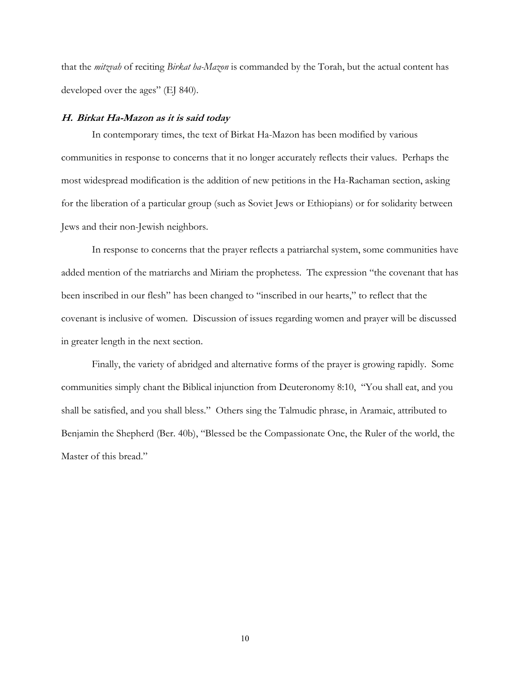that the *mitzvah* of reciting *Birkat ha-Mazon* is commanded by the Torah, but the actual content has developed over the ages" (EJ 840).

### **H. Birkat Ha-Mazon as it is said today**

In contemporary times, the text of Birkat Ha-Mazon has been modified by various communities in response to concerns that it no longer accurately reflects their values. Perhaps the most widespread modification is the addition of new petitions in the Ha-Rachaman section, asking for the liberation of a particular group (such as Soviet Jews or Ethiopians) or for solidarity between Jews and their non-Jewish neighbors.

In response to concerns that the prayer reflects a patriarchal system, some communities have added mention of the matriarchs and Miriam the prophetess. The expression "the covenant that has been inscribed in our flesh" has been changed to "inscribed in our hearts," to reflect that the covenant is inclusive of women. Discussion of issues regarding women and prayer will be discussed in greater length in the next section.

Finally, the variety of abridged and alternative forms of the prayer is growing rapidly. Some communities simply chant the Biblical injunction from Deuteronomy 8:10, "You shall eat, and you shall be satisfied, and you shall bless." Others sing the Talmudic phrase, in Aramaic, attributed to Benjamin the Shepherd (Ber. 40b), "Blessed be the Compassionate One, the Ruler of the world, the Master of this bread."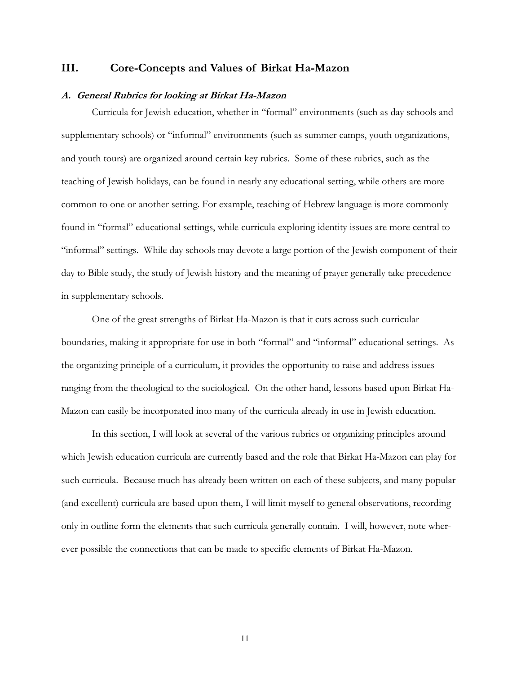# <span id="page-14-0"></span>**III. Core-Concepts and Values of Birkat Ha-Mazon**

### **A. General Rubrics for looking at Birkat Ha-Mazon**

Curricula for Jewish education, whether in "formal" environments (such as day schools and supplementary schools) or "informal" environments (such as summer camps, youth organizations, and youth tours) are organized around certain key rubrics. Some of these rubrics, such as the teaching of Jewish holidays, can be found in nearly any educational setting, while others are more common to one or another setting. For example, teaching of Hebrew language is more commonly found in "formal" educational settings, while curricula exploring identity issues are more central to "informal" settings. While day schools may devote a large portion of the Jewish component of their day to Bible study, the study of Jewish history and the meaning of prayer generally take precedence in supplementary schools.

One of the great strengths of Birkat Ha-Mazon is that it cuts across such curricular boundaries, making it appropriate for use in both "formal" and "informal" educational settings. As the organizing principle of a curriculum, it provides the opportunity to raise and address issues ranging from the theological to the sociological. On the other hand, lessons based upon Birkat Ha-Mazon can easily be incorporated into many of the curricula already in use in Jewish education.

In this section, I will look at several of the various rubrics or organizing principles around which Jewish education curricula are currently based and the role that Birkat Ha-Mazon can play for such curricula. Because much has already been written on each of these subjects, and many popular (and excellent) curricula are based upon them, I will limit myself to general observations, recording only in outline form the elements that such curricula generally contain. I will, however, note wherever possible the connections that can be made to specific elements of Birkat Ha-Mazon.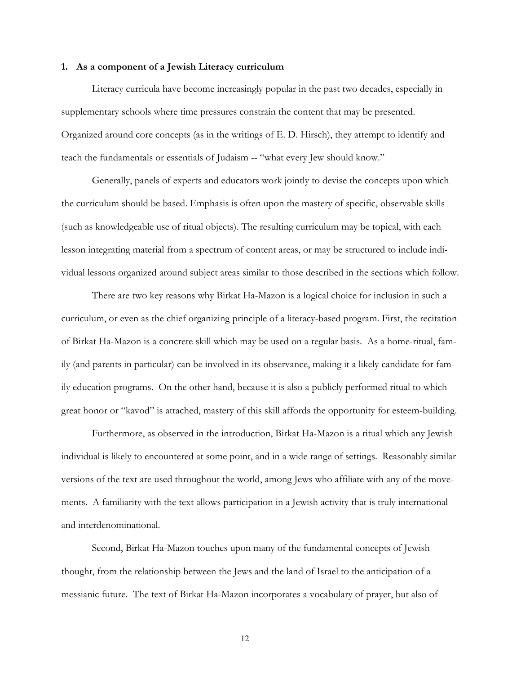#### <span id="page-15-0"></span>**1. As a component of a Jewish Literacy curriculum**

Literacy curricula have become increasingly popular in the past two decades, especially in supplementary schools where time pressures constrain the content that may be presented. Organized around core concepts (as in the writings of E. D. Hirsch), they attempt to identify and teach the fundamentals or essentials of Judaism -- "what every Jew should know."

Generally, panels of experts and educators work jointly to devise the concepts upon which the curriculum should be based. Emphasis is often upon the mastery of specific, observable skills (such as knowledgeable use of ritual objects). The resulting curriculum may be topical, with each lesson integrating material from a spectrum of content areas, or may be structured to include individual lessons organized around subject areas similar to those described in the sections which follow.

There are two key reasons why Birkat Ha-Mazon is a logical choice for inclusion in such a curriculum, or even as the chief organizing principle of a literacy-based program. First, the recitation of Birkat Ha-Mazon is a concrete skill which may be used on a regular basis. As a home-ritual, family (and parents in particular) can be involved in its observance, making it a likely candidate for family education programs. On the other hand, because it is also a publicly performed ritual to which great honor or "kavod" is attached, mastery of this skill affords the opportunity for esteem-building.

Furthermore, as observed in the introduction, Birkat Ha-Mazon is a ritual which any Jewish individual is likely to encountered at some point, and in a wide range of settings. Reasonably similar versions of the text are used throughout the world, among Jews who affiliate with any of the movements. A familiarity with the text allows participation in a Jewish activity that is truly international and interdenominational.

Second, Birkat Ha-Mazon touches upon many of the fundamental concepts of Jewish thought, from the relationship between the Jews and the land of Israel to the anticipation of a messianic future. The text of Birkat Ha-Mazon incorporates a vocabulary of prayer, but also of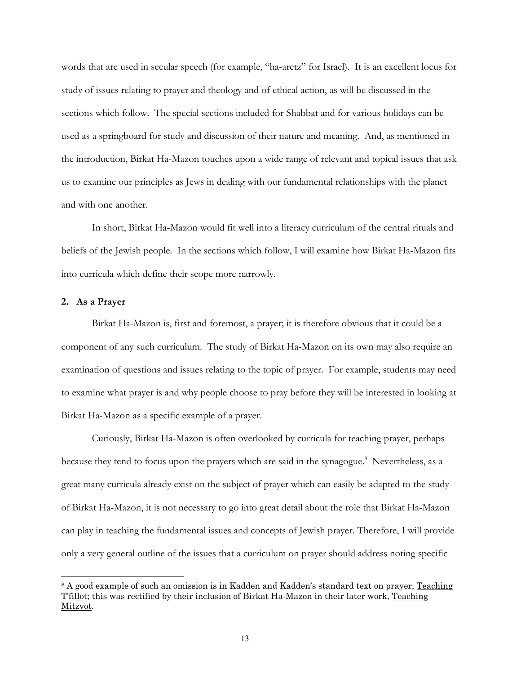<span id="page-16-0"></span>words that are used in secular speech (for example, "ha-aretz" for Israel). It is an excellent locus for study of issues relating to prayer and theology and of ethical action, as will be discussed in the sections which follow. The special sections included for Shabbat and for various holidays can be used as a springboard for study and discussion of their nature and meaning. And, as mentioned in the introduction, Birkat Ha-Mazon touches upon a wide range of relevant and topical issues that ask us to examine our principles as Jews in dealing with our fundamental relationships with the planet and with one another.

In short, Birkat Ha-Mazon would fit well into a literacy curriculum of the central rituals and beliefs of the Jewish people. In the sections which follow, I will examine how Birkat Ha-Mazon fits into curricula which define their scope more narrowly.

## **2. As a Prayer**

 $\overline{a}$ 

Birkat Ha-Mazon is, first and foremost, a prayer; it is therefore obvious that it could be a component of any such curriculum. The study of Birkat Ha-Mazon on its own may also require an examination of questions and issues relating to the topic of prayer. For example, students may need to examine what prayer is and why people choose to pray before they will be interested in looking at Birkat Ha-Mazon as a specific example of a prayer.

Curiously, Birkat Ha-Mazon is often overlooked by curricula for teaching prayer, perhaps because they tend to focus upon the prayers which are said in the synagogue.<sup>[8](#page-16-1)</sup> Nevertheless, as a great many curricula already exist on the subject of prayer which can easily be adapted to the study of Birkat Ha-Mazon, it is not necessary to go into great detail about the role that Birkat Ha-Mazon can play in teaching the fundamental issues and concepts of Jewish prayer. Therefore, I will provide only a very general outline of the issues that a curriculum on prayer should address noting specific

<span id="page-16-1"></span><sup>&</sup>lt;sup>8</sup> A good example of such an omission is in Kadden and Kadden's standard text on prayer, Teaching T'fillot; this was rectified by their inclusion of Birkat Ha-Mazon in their later work, Teaching Mitzvot.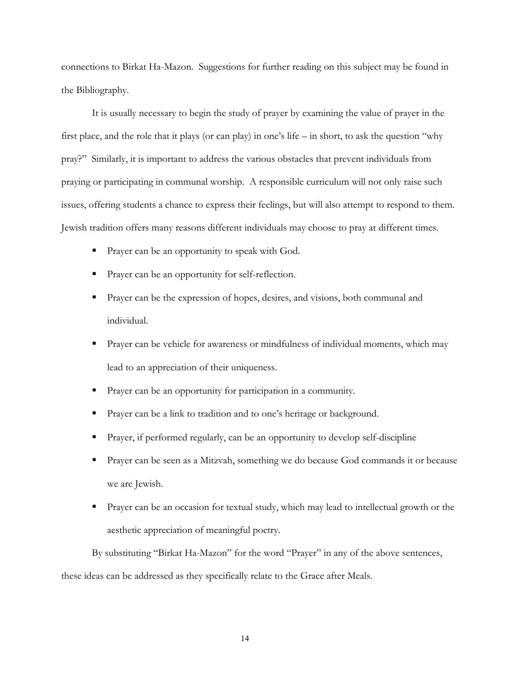connections to Birkat Ha-Mazon. Suggestions for further reading on this subject may be found in the Bibliography.

It is usually necessary to begin the study of prayer by examining the value of prayer in the first place, and the role that it plays (or can play) in one's life – in short, to ask the question "why pray?" Similarly, it is important to address the various obstacles that prevent individuals from praying or participating in communal worship. A responsible curriculum will not only raise such issues, offering students a chance to express their feelings, but will also attempt to respond to them. Jewish tradition offers many reasons different individuals may choose to pray at different times.

- **Prayer can be an opportunity to speak with God.**
- **Prayer can be an opportunity for self-reflection.**
- **Prayer can be the expression of hopes, desires, and visions, both communal and** individual.
- Prayer can be vehicle for awareness or mindfulness of individual moments, which may lead to an appreciation of their uniqueness.
- Prayer can be an opportunity for participation in a community.
- **Prayer can be a link to tradition and to one's heritage or background.**
- Prayer, if performed regularly, can be an opportunity to develop self-discipline
- Prayer can be seen as a Mitzvah, something we do because God commands it or because we are Jewish.
- Prayer can be an occasion for textual study, which may lead to intellectual growth or the aesthetic appreciation of meaningful poetry.

By substituting "Birkat Ha-Mazon" for the word "Prayer" in any of the above sentences,

these ideas can be addressed as they specifically relate to the Grace after Meals.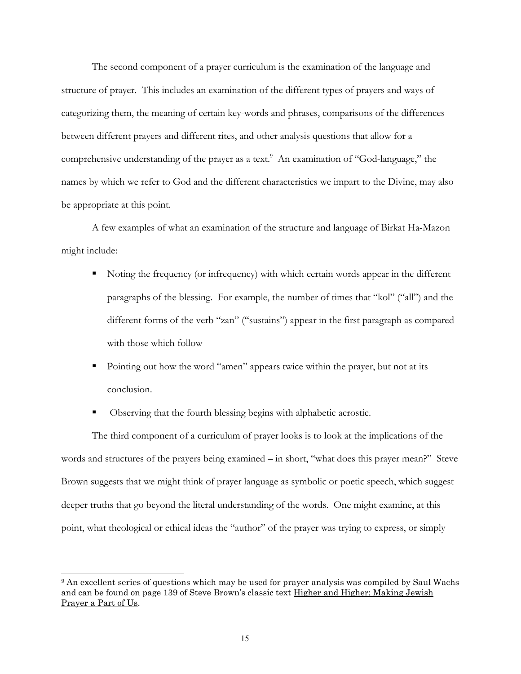The second component of a prayer curriculum is the examination of the language and structure of prayer. This includes an examination of the different types of prayers and ways of categorizing them, the meaning of certain key-words and phrases, comparisons of the differences between different prayers and different rites, and other analysis questions that allow for a comprehensive understanding of the prayer as a text.<sup>9</sup> An examination of "God-language," the names by which we refer to God and the different characteristics we impart to the Divine, may also be appropriate at this point.

A few examples of what an examination of the structure and language of Birkat Ha-Mazon might include:

- Noting the frequency (or infrequency) with which certain words appear in the different paragraphs of the blessing. For example, the number of times that "kol" ("all") and the different forms of the verb "zan" ("sustains") appear in the first paragraph as compared with those which follow
- Pointing out how the word "amen" appears twice within the prayer, but not at its conclusion.
- Observing that the fourth blessing begins with alphabetic acrostic.

The third component of a curriculum of prayer looks is to look at the implications of the words and structures of the prayers being examined – in short, "what does this prayer mean?" Steve Brown suggests that we might think of prayer language as symbolic or poetic speech, which suggest deeper truths that go beyond the literal understanding of the words. One might examine, at this point, what theological or ethical ideas the "author" of the prayer was trying to express, or simply

<span id="page-18-0"></span><sup>&</sup>lt;sup>9</sup> An excellent series of questions which may be used for prayer analysis was compiled by Saul Wachs and can be found on page 139 of Steve Brown's classic text Higher and Higher: Making Jewish Prayer a Part of Us.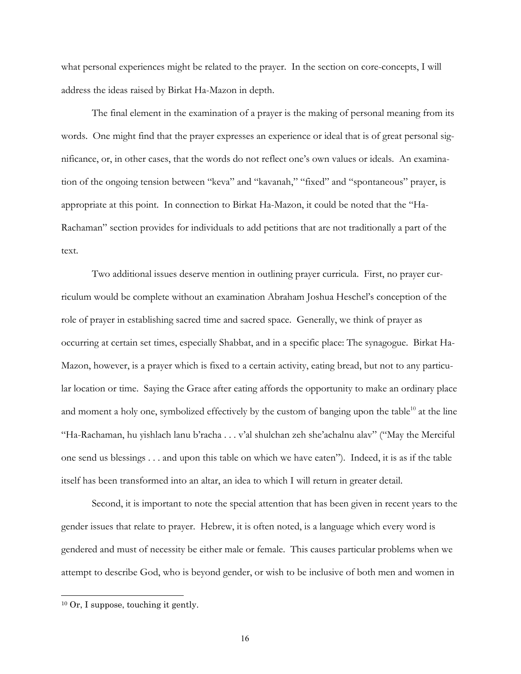what personal experiences might be related to the prayer. In the section on core-concepts, I will address the ideas raised by Birkat Ha-Mazon in depth.

The final element in the examination of a prayer is the making of personal meaning from its words. One might find that the prayer expresses an experience or ideal that is of great personal significance, or, in other cases, that the words do not reflect one's own values or ideals. An examination of the ongoing tension between "keva" and "kavanah," "fixed" and "spontaneous" prayer, is appropriate at this point. In connection to Birkat Ha-Mazon, it could be noted that the "Ha-Rachaman" section provides for individuals to add petitions that are not traditionally a part of the text.

Two additional issues deserve mention in outlining prayer curricula. First, no prayer curriculum would be complete without an examination Abraham Joshua Heschel's conception of the role of prayer in establishing sacred time and sacred space. Generally, we think of prayer as occurring at certain set times, especially Shabbat, and in a specific place: The synagogue. Birkat Ha-Mazon, however, is a prayer which is fixed to a certain activity, eating bread, but not to any particular location or time. Saying the Grace after eating affords the opportunity to make an ordinary place and moment a holy one, symbolized effectively by the custom of banging upon the table<sup>10</sup> at the line "Ha-Rachaman, hu yishlach lanu b'racha . . . v'al shulchan zeh she'achalnu alav" ("May the Merciful one send us blessings . . . and upon this table on which we have eaten"). Indeed, it is as if the table itself has been transformed into an altar, an idea to which I will return in greater detail.

Second, it is important to note the special attention that has been given in recent years to the gender issues that relate to prayer. Hebrew, it is often noted, is a language which every word is gendered and must of necessity be either male or female. This causes particular problems when we attempt to describe God, who is beyond gender, or wish to be inclusive of both men and women in

<span id="page-19-0"></span><sup>10</sup> Or, I suppose, touching it gently.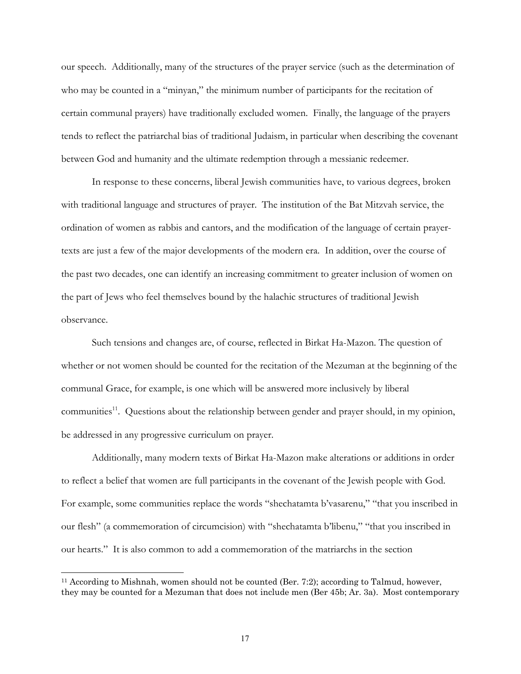<span id="page-20-0"></span>our speech. Additionally, many of the structures of the prayer service (such as the determination of who may be counted in a "minyan," the minimum number of participants for the recitation of certain communal prayers) have traditionally excluded women. Finally, the language of the prayers tends to reflect the patriarchal bias of traditional Judaism, in particular when describing the covenant between God and humanity and the ultimate redemption through a messianic redeemer.

In response to these concerns, liberal Jewish communities have, to various degrees, broken with traditional language and structures of prayer. The institution of the Bat Mitzvah service, the ordination of women as rabbis and cantors, and the modification of the language of certain prayertexts are just a few of the major developments of the modern era. In addition, over the course of the past two decades, one can identify an increasing commitment to greater inclusion of women on the part of Jews who feel themselves bound by the halachic structures of traditional Jewish observance.

Such tensions and changes are, of course, reflected in Birkat Ha-Mazon. The question of whether or not women should be counted for the recitation of the Mezuman at the beginning of the communal Grace, for example, is one which will be answered more inclusively by liberal communities $^{11}$ . Questions about the relationship between gender and prayer should, in my opinion, be addressed in any progressive curriculum on prayer.

Additionally, many modern texts of Birkat Ha-Mazon make alterations or additions in order to reflect a belief that women are full participants in the covenant of the Jewish people with God. For example, some communities replace the words "shechatamta b'vasarenu," "that you inscribed in our flesh" (a commemoration of circumcision) with "shechatamta b'libenu," "that you inscribed in our hearts." It is also common to add a commemoration of the matriarchs in the section

<sup>11</sup> According to Mishnah, women should not be counted (Ber. 7:2); according to Talmud, however, they may be counted for a Mezuman that does not include men (Ber 45b; Ar. 3a). Most contemporary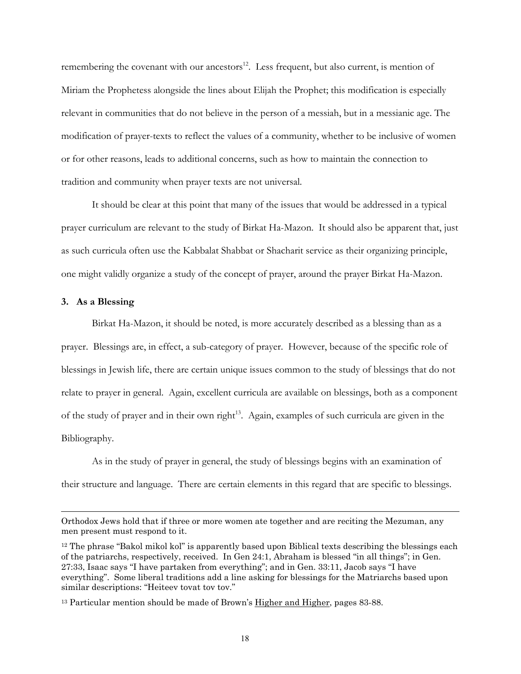<span id="page-21-0"></span>remembering the covenant with our ancestors $^{12}$ . Less frequent, but also current, is mention of Miriam the Prophetess alongside the lines about Elijah the Prophet; this modification is especially relevant in communities that do not believe in the person of a messiah, but in a messianic age. The modification of prayer-texts to reflect the values of a community, whether to be inclusive of women or for other reasons, leads to additional concerns, such as how to maintain the connection to tradition and community when prayer texts are not universal.

It should be clear at this point that many of the issues that would be addressed in a typical prayer curriculum are relevant to the study of Birkat Ha-Mazon. It should also be apparent that, just as such curricula often use the Kabbalat Shabbat or Shacharit service as their organizing principle, one might validly organize a study of the concept of prayer, around the prayer Birkat Ha-Mazon.

### **3. As a Blessing**

 $\overline{a}$ 

Birkat Ha-Mazon, it should be noted, is more accurately described as a blessing than as a prayer. Blessings are, in effect, a sub-category of prayer. However, because of the specific role of blessings in Jewish life, there are certain unique issues common to the study of blessings that do not relate to prayer in general. Again, excellent curricula are available on blessings, both as a component of the study of prayer and in their own right<sup>13</sup>. Again, examples of such curricula are given in the Bibliography.

As in the study of prayer in general, the study of blessings begins with an examination of their structure and language. There are certain elements in this regard that are specific to blessings.

Orthodox Jews hold that if three or more women ate together and are reciting the Mezuman, any men present must respond to it.

<span id="page-21-1"></span><sup>12</sup> The phrase "Bakol mikol kol" is apparently based upon Biblical texts describing the blessings each of the patriarchs, respectively, received. In Gen 24:1, Abraham is blessed "in all things"; in Gen. 27:33, Isaac says "I have partaken from everything"; and in Gen. 33:11, Jacob says "I have everything". Some liberal traditions add a line asking for blessings for the Matriarchs based upon similar descriptions: "Heiteev tovat tov tov."

<span id="page-21-2"></span><sup>&</sup>lt;sup>13</sup> Particular mention should be made of Brown's Higher and Higher, pages 83-88.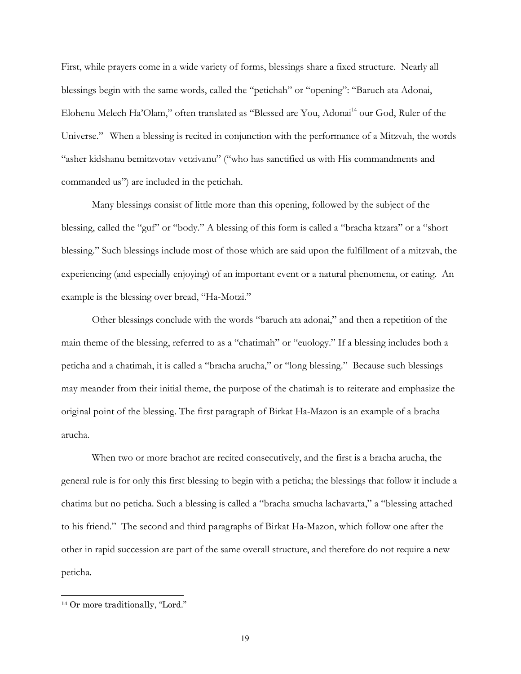First, while prayers come in a wide variety of forms, blessings share a fixed structure. Nearly all blessings begin with the same words, called the "petichah" or "opening": "Baruch ata Adonai, Elohenu Melech Ha'Olam," often translated as "Blessed are You, Adonai<sup>14</sup> our God, Ruler of the Universe." When a blessing is recited in conjunction with the performance of a Mitzvah, the words "asher kidshanu bemitzvotav vetzivanu" ("who has sanctified us with His commandments and commanded us") are included in the petichah.

Many blessings consist of little more than this opening, followed by the subject of the blessing, called the "guf" or "body." A blessing of this form is called a "bracha ktzara" or a "short blessing." Such blessings include most of those which are said upon the fulfillment of a mitzvah, the experiencing (and especially enjoying) of an important event or a natural phenomena, or eating. An example is the blessing over bread, "Ha-Motzi."

Other blessings conclude with the words "baruch ata adonai," and then a repetition of the main theme of the blessing, referred to as a "chatimah" or "euology." If a blessing includes both a peticha and a chatimah, it is called a "bracha arucha," or "long blessing." Because such blessings may meander from their initial theme, the purpose of the chatimah is to reiterate and emphasize the original point of the blessing. The first paragraph of Birkat Ha-Mazon is an example of a bracha arucha.

When two or more brachot are recited consecutively, and the first is a bracha arucha, the general rule is for only this first blessing to begin with a peticha; the blessings that follow it include a chatima but no peticha. Such a blessing is called a "bracha smucha lachavarta," a "blessing attached to his friend." The second and third paragraphs of Birkat Ha-Mazon, which follow one after the other in rapid succession are part of the same overall structure, and therefore do not require a new peticha.

<span id="page-22-0"></span><sup>14</sup> Or more traditionally, "Lord."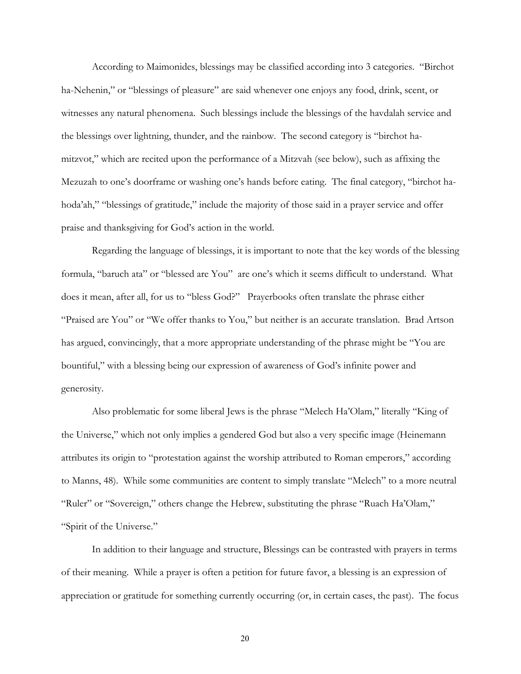According to Maimonides, blessings may be classified according into 3 categories. "Birchot ha-Nehenin," or "blessings of pleasure" are said whenever one enjoys any food, drink, scent, or witnesses any natural phenomena. Such blessings include the blessings of the havdalah service and the blessings over lightning, thunder, and the rainbow. The second category is "birchot hamitzvot," which are recited upon the performance of a Mitzvah (see below), such as affixing the Mezuzah to one's doorframe or washing one's hands before eating. The final category, "birchot hahoda'ah," "blessings of gratitude," include the majority of those said in a prayer service and offer praise and thanksgiving for God's action in the world.

Regarding the language of blessings, it is important to note that the key words of the blessing formula, "baruch ata" or "blessed are You" are one's which it seems difficult to understand. What does it mean, after all, for us to "bless God?" Prayerbooks often translate the phrase either "Praised are You" or "We offer thanks to You," but neither is an accurate translation. Brad Artson has argued, convincingly, that a more appropriate understanding of the phrase might be "You are bountiful," with a blessing being our expression of awareness of God's infinite power and generosity.

Also problematic for some liberal Jews is the phrase "Melech Ha'Olam," literally "King of the Universe," which not only implies a gendered God but also a very specific image (Heinemann attributes its origin to "protestation against the worship attributed to Roman emperors," according to Manns, 48). While some communities are content to simply translate "Melech" to a more neutral "Ruler" or "Sovereign," others change the Hebrew, substituting the phrase "Ruach Ha'Olam," "Spirit of the Universe."

In addition to their language and structure, Blessings can be contrasted with prayers in terms of their meaning. While a prayer is often a petition for future favor, a blessing is an expression of appreciation or gratitude for something currently occurring (or, in certain cases, the past). The focus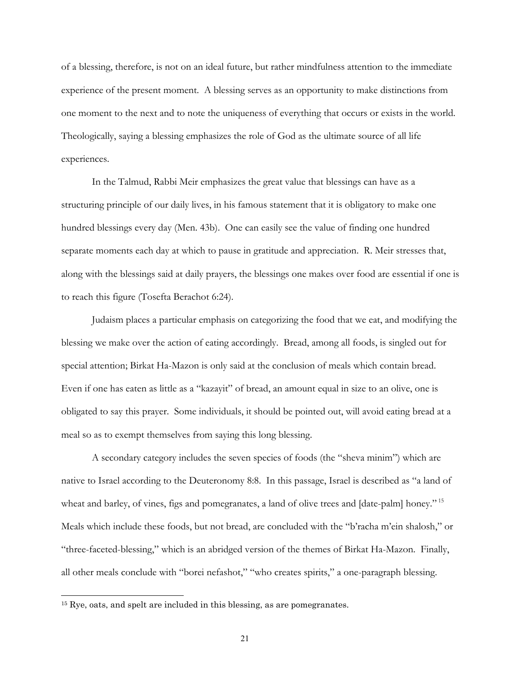of a blessing, therefore, is not on an ideal future, but rather mindfulness attention to the immediate experience of the present moment. A blessing serves as an opportunity to make distinctions from one moment to the next and to note the uniqueness of everything that occurs or exists in the world. Theologically, saying a blessing emphasizes the role of God as the ultimate source of all life experiences.

In the Talmud, Rabbi Meir emphasizes the great value that blessings can have as a structuring principle of our daily lives, in his famous statement that it is obligatory to make one hundred blessings every day (Men. 43b). One can easily see the value of finding one hundred separate moments each day at which to pause in gratitude and appreciation. R. Meir stresses that, along with the blessings said at daily prayers, the blessings one makes over food are essential if one is to reach this figure (Tosefta Berachot 6:24).

Judaism places a particular emphasis on categorizing the food that we eat, and modifying the blessing we make over the action of eating accordingly. Bread, among all foods, is singled out for special attention; Birkat Ha-Mazon is only said at the conclusion of meals which contain bread. Even if one has eaten as little as a "kazayit" of bread, an amount equal in size to an olive, one is obligated to say this prayer. Some individuals, it should be pointed out, will avoid eating bread at a meal so as to exempt themselves from saying this long blessing.

A secondary category includes the seven species of foods (the "sheva minim") which are native to Israel according to the Deuteronomy 8:8. In this passage, Israel is described as "a land of wheat and barley, of vines, figs and pomegranates, a land of olive trees and [date-palm] honey."<sup>15</sup> Meals which include these foods, but not bread, are concluded with the "b'racha m'ein shalosh," or "three-faceted-blessing," which is an abridged version of the themes of Birkat Ha-Mazon. Finally, all other meals conclude with "borei nefashot," "who creates spirits," a one-paragraph blessing.

<span id="page-24-0"></span> $15$  Rye, oats, and spelt are included in this blessing, as are pomegranates.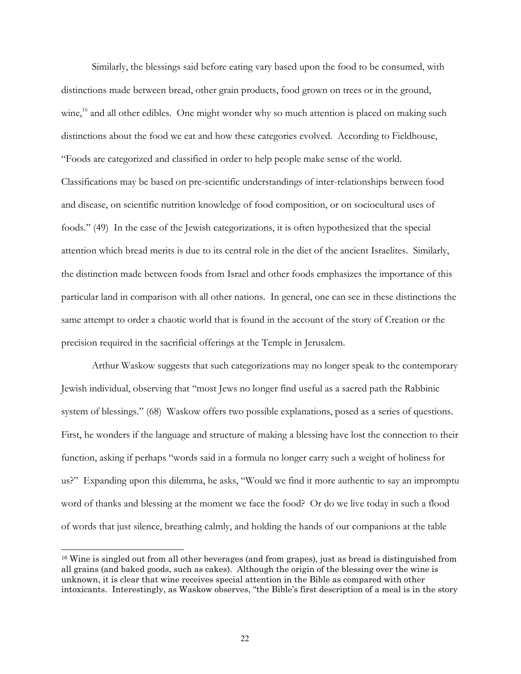<span id="page-25-0"></span>Similarly, the blessings said before eating vary based upon the food to be consumed, with distinctions made between bread, other grain products, food grown on trees or in the ground, wine,<sup>16</sup> and all other edibles. One might wonder why so much attention is placed on making such distinctions about the food we eat and how these categories evolved. According to Fieldhouse, "Foods are categorized and classified in order to help people make sense of the world. Classifications may be based on pre-scientific understandings of inter-relationships between food and disease, on scientific nutrition knowledge of food composition, or on sociocultural uses of foods." (49) In the case of the Jewish categorizations, it is often hypothesized that the special attention which bread merits is due to its central role in the diet of the ancient Israelites. Similarly, the distinction made between foods from Israel and other foods emphasizes the importance of this particular land in comparison with all other nations. In general, one can see in these distinctions the same attempt to order a chaotic world that is found in the account of the story of Creation or the precision required in the sacrificial offerings at the Temple in Jerusalem.

Arthur Waskow suggests that such categorizations may no longer speak to the contemporary Jewish individual, observing that "most Jews no longer find useful as a sacred path the Rabbinic system of blessings." (68) Waskow offers two possible explanations, posed as a series of questions. First, he wonders if the language and structure of making a blessing have lost the connection to their function, asking if perhaps "words said in a formula no longer carry such a weight of holiness for us?" Expanding upon this dilemma, he asks, "Would we find it more authentic to say an impromptu word of thanks and blessing at the moment we face the food? Or do we live today in such a flood of words that just silence, breathing calmly, and holding the hands of our companions at the table

<sup>16</sup> Wine is singled out from all other beverages (and from grapes), just as bread is distinguished from all grains (and baked goods, such as cakes). Although the origin of the blessing over the wine is unknown, it is clear that wine receives special attention in the Bible as compared with other intoxicants. Interestingly, as Waskow observes, "the Bible's first description of a meal is in the story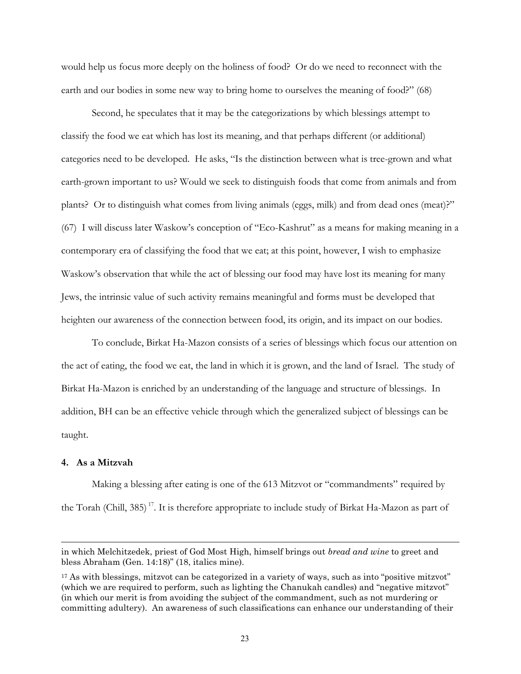<span id="page-26-1"></span><span id="page-26-0"></span>would help us focus more deeply on the holiness of food? Or do we need to reconnect with the earth and our bodies in some new way to bring home to ourselves the meaning of food?" (68)

Second, he speculates that it may be the categorizations by which blessings attempt to classify the food we eat which has lost its meaning, and that perhaps different (or additional) categories need to be developed. He asks, "Is the distinction between what is tree-grown and what earth-grown important to us? Would we seek to distinguish foods that come from animals and from plants? Or to distinguish what comes from living animals (eggs, milk) and from dead ones (meat)?" (67) I will discuss later Waskow's conception of "Eco-Kashrut" as a means for making meaning in a contemporary era of classifying the food that we eat; at this point, however, I wish to emphasize Waskow's observation that while the act of blessing our food may have lost its meaning for many Jews, the intrinsic value of such activity remains meaningful and forms must be developed that heighten our awareness of the connection between food, its origin, and its impact on our bodies.

To conclude, Birkat Ha-Mazon consists of a series of blessings which focus our attention on the act of eating, the food we eat, the land in which it is grown, and the land of Israel. The study of Birkat Ha-Mazon is enriched by an understanding of the language and structure of blessings. In addition, BH can be an effective vehicle through which the generalized subject of blessings can be taught.

## **4. As a Mitzvah**

 $\overline{a}$ 

Making a blessing after eating is one of the 613 Mitzvot or "commandments" required by the Torah (Chill, 385)<sup>17</sup>. It is therefore appropriate to include study of Birkat Ha-Mazon as part of

in which Melchitzedek, priest of God Most High, himself brings out *bread and wine* to greet and bless Abraham (Gen. 14:18)" (18, italics mine).

<sup>&</sup>lt;sup>17</sup> As with blessings, mitzvot can be categorized in a variety of ways, such as into "positive mitzvot" (which we are required to perform, such as lighting the Chanukah candles) and "negative mitzvot" (in which our merit is from avoiding the subject of the commandment, such as not murdering or committing adultery). An awareness of such classifications can enhance our understanding of their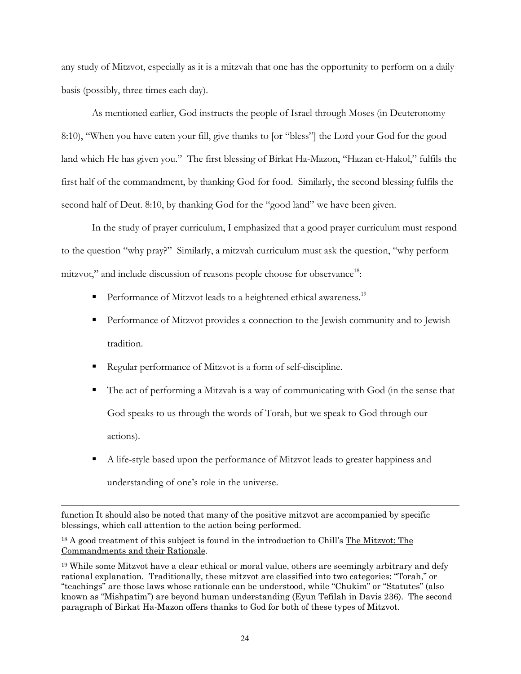any study of Mitzvot, especially as it is a mitzvah that one has the opportunity to perform on a daily basis (possibly, three times each day).

As mentioned earlier, God instructs the people of Israel through Moses (in Deuteronomy 8:10), "When you have eaten your fill, give thanks to [or "bless"] the Lord your God for the good land which He has given you." The first blessing of Birkat Ha-Mazon, "Hazan et-Hakol," fulfils the first half of the commandment, by thanking God for food. Similarly, the second blessing fulfils the second half of Deut. 8:10, by thanking God for the "good land" we have been given.

In the study of prayer curriculum, I emphasized that a good prayer curriculum must respond to the question "why pray?" Similarly, a mitzvah curriculum must ask the question, "why perform mitzvot," and include discussion of reasons people choose for observance<sup>18</sup>:

- Performance of Mitzvot leads to a heightened ethical awareness.<sup>[19](#page-27-1)</sup>
- Performance of Mitzvot provides a connection to the Jewish community and to Jewish tradition.
- Regular performance of Mitzvot is a form of self-discipline.

 $\overline{a}$ 

- The act of performing a Mitzvah is a way of communicating with God (in the sense that God speaks to us through the words of Torah, but we speak to God through our actions).
- A life-style based upon the performance of Mitzvot leads to greater happiness and understanding of one's role in the universe.

function It should also be noted that many of the positive mitzvot are accompanied by specific blessings, which call attention to the action being performed.

<span id="page-27-0"></span><sup>18</sup> A good treatment of this subject is found in the introduction to Chill's The Mitzvot: The Commandments and their Rationale.

<span id="page-27-1"></span><sup>19</sup> While some Mitzvot have a clear ethical or moral value, others are seemingly arbitrary and defy rational explanation. Traditionally, these mitzvot are classified into two categories: "Torah," or "teachings" are those laws whose rationale can be understood, while "Chukim" or "Statutes" (also known as "Mishpatim") are beyond human understanding (Eyun Tefilah in Davis 236). The second paragraph of Birkat Ha-Mazon offers thanks to God for both of these types of Mitzvot.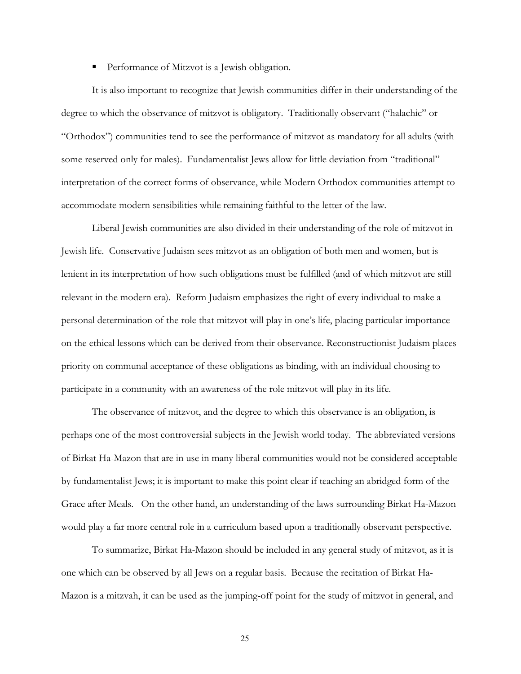**Performance of Mitzvot is a Jewish obligation.** 

It is also important to recognize that Jewish communities differ in their understanding of the degree to which the observance of mitzvot is obligatory. Traditionally observant ("halachic" or "Orthodox") communities tend to see the performance of mitzvot as mandatory for all adults (with some reserved only for males). Fundamentalist Jews allow for little deviation from "traditional" interpretation of the correct forms of observance, while Modern Orthodox communities attempt to accommodate modern sensibilities while remaining faithful to the letter of the law.

Liberal Jewish communities are also divided in their understanding of the role of mitzvot in Jewish life. Conservative Judaism sees mitzvot as an obligation of both men and women, but is lenient in its interpretation of how such obligations must be fulfilled (and of which mitzvot are still relevant in the modern era). Reform Judaism emphasizes the right of every individual to make a personal determination of the role that mitzvot will play in one's life, placing particular importance on the ethical lessons which can be derived from their observance. Reconstructionist Judaism places priority on communal acceptance of these obligations as binding, with an individual choosing to participate in a community with an awareness of the role mitzvot will play in its life.

The observance of mitzvot, and the degree to which this observance is an obligation, is perhaps one of the most controversial subjects in the Jewish world today. The abbreviated versions of Birkat Ha-Mazon that are in use in many liberal communities would not be considered acceptable by fundamentalist Jews; it is important to make this point clear if teaching an abridged form of the Grace after Meals. On the other hand, an understanding of the laws surrounding Birkat Ha-Mazon would play a far more central role in a curriculum based upon a traditionally observant perspective.

To summarize, Birkat Ha-Mazon should be included in any general study of mitzvot, as it is one which can be observed by all Jews on a regular basis. Because the recitation of Birkat Ha-Mazon is a mitzvah, it can be used as the jumping-off point for the study of mitzvot in general, and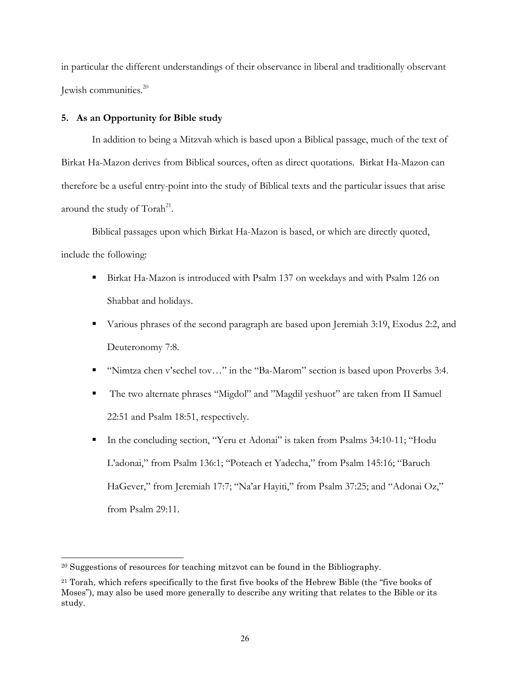<span id="page-29-0"></span>in particular the different understandings of their observance in liberal and traditionally observant Jewish communities.[20](#page-29-1)

## **5. As an Opportunity for Bible study**

In addition to being a Mitzvah which is based upon a Biblical passage, much of the text of Birkat Ha-Mazon derives from Biblical sources, often as direct quotations. Birkat Ha-Mazon can therefore be a useful entry-point into the study of Biblical texts and the particular issues that arise around the study of  $Torah<sup>21</sup>$ .

Biblical passages upon which Birkat Ha-Mazon is based, or which are directly quoted, include the following:

- Birkat Ha-Mazon is introduced with Psalm 137 on weekdays and with Psalm 126 on Shabbat and holidays.
- Various phrases of the second paragraph are based upon Jeremiah 3:19, Exodus 2:2, and Deuteronomy 7:8.
- "Nimtza chen v'sechel tov..." in the "Ba-Marom" section is based upon Proverbs 3:4.
- The two alternate phrases "Migdol" and "Magdil yeshuot" are taken from II Samuel 22:51 and Psalm 18:51, respectively.
- In the concluding section, "Yeru et Adonai" is taken from Psalms 34:10-11; "Hodu L'adonai," from Psalm 136:1; "Poteach et Yadecha," from Psalm 145:16; "Baruch HaGever," from Jeremiah 17:7; "Na'ar Hayiti," from Psalm 37:25; and "Adonai Oz," from Psalm 29:11.

<span id="page-29-1"></span><sup>&</sup>lt;sup>20</sup> Suggestions of resources for teaching mitzvot can be found in the Bibliography.

<span id="page-29-2"></span><sup>&</sup>lt;sup>21</sup> Torah, which refers specifically to the first five books of the Hebrew Bible (the "five books of Moses"), may also be used more generally to describe any writing that relates to the Bible or its study.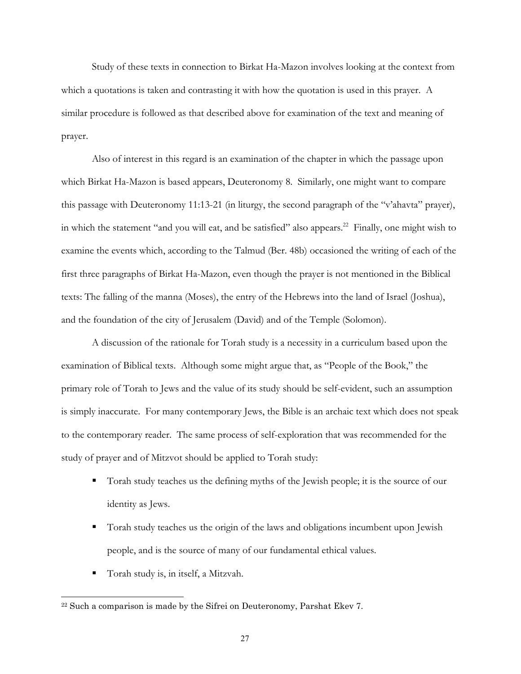Study of these texts in connection to Birkat Ha-Mazon involves looking at the context from which a quotations is taken and contrasting it with how the quotation is used in this prayer. A similar procedure is followed as that described above for examination of the text and meaning of prayer.

Also of interest in this regard is an examination of the chapter in which the passage upon which Birkat Ha-Mazon is based appears, Deuteronomy 8. Similarly, one might want to compare this passage with Deuteronomy 11:13-21 (in liturgy, the second paragraph of the "v'ahavta" prayer), in which the statement "and you will eat, and be satisfied" also appears.<sup>22</sup> Finally, one might wish to examine the events which, according to the Talmud (Ber. 48b) occasioned the writing of each of the first three paragraphs of Birkat Ha-Mazon, even though the prayer is not mentioned in the Biblical texts: The falling of the manna (Moses), the entry of the Hebrews into the land of Israel (Joshua), and the foundation of the city of Jerusalem (David) and of the Temple (Solomon).

A discussion of the rationale for Torah study is a necessity in a curriculum based upon the examination of Biblical texts. Although some might argue that, as "People of the Book," the primary role of Torah to Jews and the value of its study should be self-evident, such an assumption is simply inaccurate. For many contemporary Jews, the Bible is an archaic text which does not speak to the contemporary reader. The same process of self-exploration that was recommended for the study of prayer and of Mitzvot should be applied to Torah study:

- Torah study teaches us the defining myths of the Jewish people; it is the source of our identity as Jews.
- Torah study teaches us the origin of the laws and obligations incumbent upon Jewish people, and is the source of many of our fundamental ethical values.
- Torah study is, in itself, a Mitzvah.

 $\overline{\phantom{a}}$ 

<span id="page-30-0"></span><sup>&</sup>lt;sup>22</sup> Such a comparison is made by the Sifrei on Deuteronomy, Parshat Ekev 7.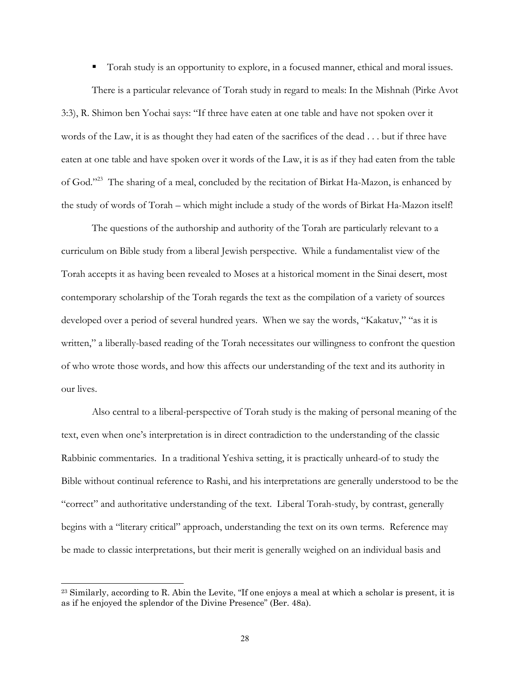Torah study is an opportunity to explore, in a focused manner, ethical and moral issues.

There is a particular relevance of Torah study in regard to meals: In the Mishnah (Pirke Avot 3:3), R. Shimon ben Yochai says: "If three have eaten at one table and have not spoken over it words of the Law, it is as thought they had eaten of the sacrifices of the dead . . . but if three have eaten at one table and have spoken over it words of the Law, it is as if they had eaten from the table of God."[23](#page-31-0) The sharing of a meal, concluded by the recitation of Birkat Ha-Mazon, is enhanced by the study of words of Torah – which might include a study of the words of Birkat Ha-Mazon itself!

The questions of the authorship and authority of the Torah are particularly relevant to a curriculum on Bible study from a liberal Jewish perspective. While a fundamentalist view of the Torah accepts it as having been revealed to Moses at a historical moment in the Sinai desert, most contemporary scholarship of the Torah regards the text as the compilation of a variety of sources developed over a period of several hundred years. When we say the words, "Kakatuv," "as it is written," a liberally-based reading of the Torah necessitates our willingness to confront the question of who wrote those words, and how this affects our understanding of the text and its authority in our lives.

Also central to a liberal-perspective of Torah study is the making of personal meaning of the text, even when one's interpretation is in direct contradiction to the understanding of the classic Rabbinic commentaries. In a traditional Yeshiva setting, it is practically unheard-of to study the Bible without continual reference to Rashi, and his interpretations are generally understood to be the "correct" and authoritative understanding of the text. Liberal Torah-study, by contrast, generally begins with a "literary critical" approach, understanding the text on its own terms. Reference may be made to classic interpretations, but their merit is generally weighed on an individual basis and

l

<span id="page-31-0"></span><sup>&</sup>lt;sup>23</sup> Similarly, according to R. Abin the Levite, "If one enjoys a meal at which a scholar is present, it is as if he enjoyed the splendor of the Divine Presence" (Ber. 48a).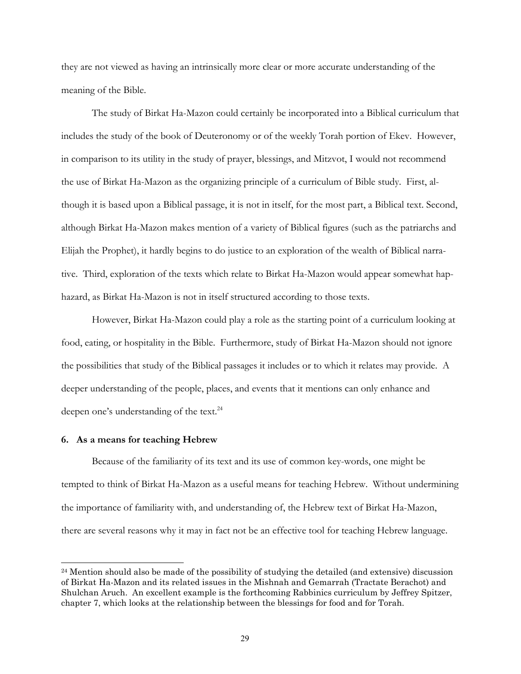<span id="page-32-0"></span>they are not viewed as having an intrinsically more clear or more accurate understanding of the meaning of the Bible.

The study of Birkat Ha-Mazon could certainly be incorporated into a Biblical curriculum that includes the study of the book of Deuteronomy or of the weekly Torah portion of Ekev. However, in comparison to its utility in the study of prayer, blessings, and Mitzvot, I would not recommend the use of Birkat Ha-Mazon as the organizing principle of a curriculum of Bible study. First, although it is based upon a Biblical passage, it is not in itself, for the most part, a Biblical text. Second, although Birkat Ha-Mazon makes mention of a variety of Biblical figures (such as the patriarchs and Elijah the Prophet), it hardly begins to do justice to an exploration of the wealth of Biblical narrative. Third, exploration of the texts which relate to Birkat Ha-Mazon would appear somewhat haphazard, as Birkat Ha-Mazon is not in itself structured according to those texts.

However, Birkat Ha-Mazon could play a role as the starting point of a curriculum looking at food, eating, or hospitality in the Bible. Furthermore, study of Birkat Ha-Mazon should not ignore the possibilities that study of the Biblical passages it includes or to which it relates may provide. A deeper understanding of the people, places, and events that it mentions can only enhance and deepen one's understanding of the text.<sup>[24](#page-32-1)</sup>

## **6. As a means for teaching Hebrew**

 $\overline{a}$ 

Because of the familiarity of its text and its use of common key-words, one might be tempted to think of Birkat Ha-Mazon as a useful means for teaching Hebrew. Without undermining the importance of familiarity with, and understanding of, the Hebrew text of Birkat Ha-Mazon, there are several reasons why it may in fact not be an effective tool for teaching Hebrew language.

<span id="page-32-1"></span> $24$  Mention should also be made of the possibility of studying the detailed (and extensive) discussion of Birkat Ha-Mazon and its related issues in the Mishnah and Gemarrah (Tractate Berachot) and Shulchan Aruch. An excellent example is the forthcoming Rabbinics curriculum by Jeffrey Spitzer, chapter 7, which looks at the relationship between the blessings for food and for Torah.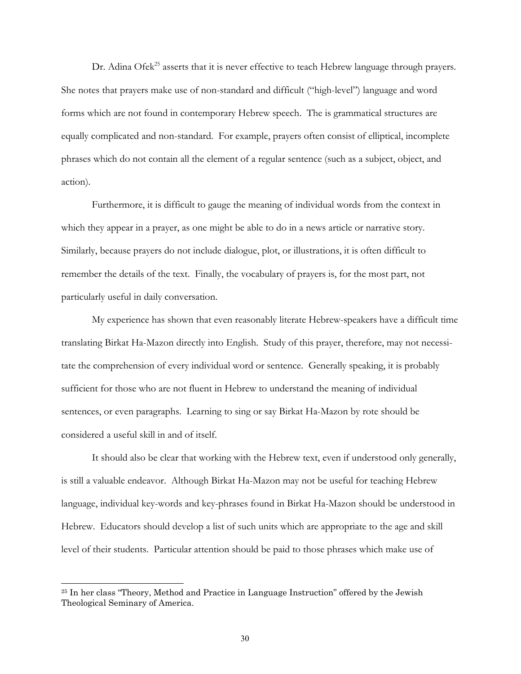Dr. Adina Ofek<sup>25</sup> asserts that it is never effective to teach Hebrew language through prayers. She notes that prayers make use of non-standard and difficult ("high-level") language and word forms which are not found in contemporary Hebrew speech. The is grammatical structures are equally complicated and non-standard. For example, prayers often consist of elliptical, incomplete phrases which do not contain all the element of a regular sentence (such as a subject, object, and action).

Furthermore, it is difficult to gauge the meaning of individual words from the context in which they appear in a prayer, as one might be able to do in a news article or narrative story. Similarly, because prayers do not include dialogue, plot, or illustrations, it is often difficult to remember the details of the text. Finally, the vocabulary of prayers is, for the most part, not particularly useful in daily conversation.

My experience has shown that even reasonably literate Hebrew-speakers have a difficult time translating Birkat Ha-Mazon directly into English. Study of this prayer, therefore, may not necessitate the comprehension of every individual word or sentence. Generally speaking, it is probably sufficient for those who are not fluent in Hebrew to understand the meaning of individual sentences, or even paragraphs. Learning to sing or say Birkat Ha-Mazon by rote should be considered a useful skill in and of itself.

It should also be clear that working with the Hebrew text, even if understood only generally, is still a valuable endeavor. Although Birkat Ha-Mazon may not be useful for teaching Hebrew language, individual key-words and key-phrases found in Birkat Ha-Mazon should be understood in Hebrew. Educators should develop a list of such units which are appropriate to the age and skill level of their students. Particular attention should be paid to those phrases which make use of

l

<span id="page-33-0"></span><sup>25</sup> In her class "Theory, Method and Practice in Language Instruction" offered by the Jewish Theological Seminary of America.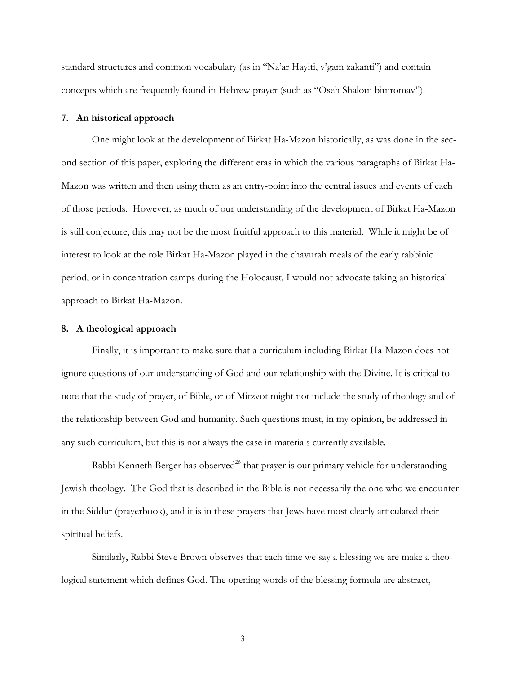<span id="page-34-0"></span>standard structures and common vocabulary (as in "Na'ar Hayiti, v'gam zakanti") and contain concepts which are frequently found in Hebrew prayer (such as "Oseh Shalom bimromav").

## **7. An historical approach**

One might look at the development of Birkat Ha-Mazon historically, as was done in the second section of this paper, exploring the different eras in which the various paragraphs of Birkat Ha-Mazon was written and then using them as an entry-point into the central issues and events of each of those periods. However, as much of our understanding of the development of Birkat Ha-Mazon is still conjecture, this may not be the most fruitful approach to this material. While it might be of interest to look at the role Birkat Ha-Mazon played in the chavurah meals of the early rabbinic period, or in concentration camps during the Holocaust, I would not advocate taking an historical approach to Birkat Ha-Mazon.

### **8. A theological approach**

Finally, it is important to make sure that a curriculum including Birkat Ha-Mazon does not ignore questions of our understanding of God and our relationship with the Divine. It is critical to note that the study of prayer, of Bible, or of Mitzvot might not include the study of theology and of the relationship between God and humanity. Such questions must, in my opinion, be addressed in any such curriculum, but this is not always the case in materials currently available.

Rabbi Kenneth Berger has observed<sup>26</sup> that prayer is our primary vehicle for understanding Jewish theology. The God that is described in the Bible is not necessarily the one who we encounter in the Siddur (prayerbook), and it is in these prayers that Jews have most clearly articulated their spiritual beliefs.

<span id="page-34-1"></span>Similarly, Rabbi Steve Brown observes that each time we say a blessing we are make a theological statement which defines God. The opening words of the blessing formula are abstract,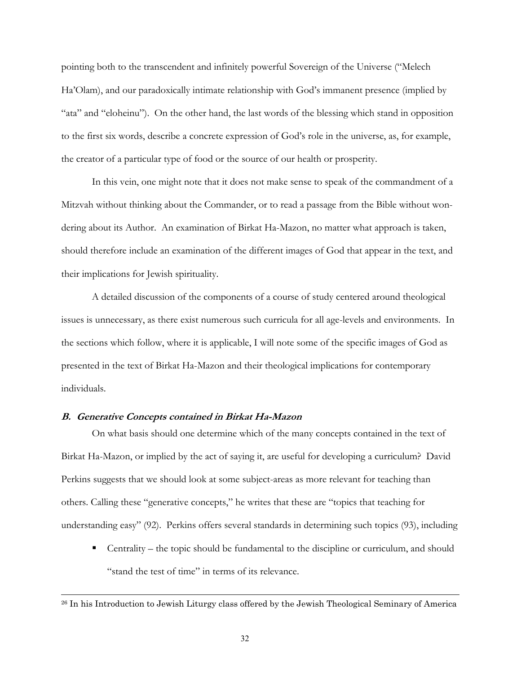<span id="page-35-0"></span>pointing both to the transcendent and infinitely powerful Sovereign of the Universe ("Melech Ha'Olam), and our paradoxically intimate relationship with God's immanent presence (implied by "ata" and "eloheinu"). On the other hand, the last words of the blessing which stand in opposition to the first six words, describe a concrete expression of God's role in the universe, as, for example, the creator of a particular type of food or the source of our health or prosperity.

In this vein, one might note that it does not make sense to speak of the commandment of a Mitzvah without thinking about the Commander, or to read a passage from the Bible without wondering about its Author. An examination of Birkat Ha-Mazon, no matter what approach is taken, should therefore include an examination of the different images of God that appear in the text, and their implications for Jewish spirituality.

A detailed discussion of the components of a course of study centered around theological issues is unnecessary, as there exist numerous such curricula for all age-levels and environments. In the sections which follow, where it is applicable, I will note some of the specific images of God as presented in the text of Birkat Ha-Mazon and their theological implications for contemporary individuals.

## **B. Generative Concepts contained in Birkat Ha-Mazon**

 $\overline{a}$ 

On what basis should one determine which of the many concepts contained in the text of Birkat Ha-Mazon, or implied by the act of saying it, are useful for developing a curriculum? David Perkins suggests that we should look at some subject-areas as more relevant for teaching than others. Calling these "generative concepts," he writes that these are "topics that teaching for understanding easy" (92). Perkins offers several standards in determining such topics (93), including

 Centrality – the topic should be fundamental to the discipline or curriculum, and should "stand the test of time" in terms of its relevance.

<sup>&</sup>lt;sup>26</sup> In his Introduction to Jewish Liturgy class offered by the Jewish Theological Seminary of America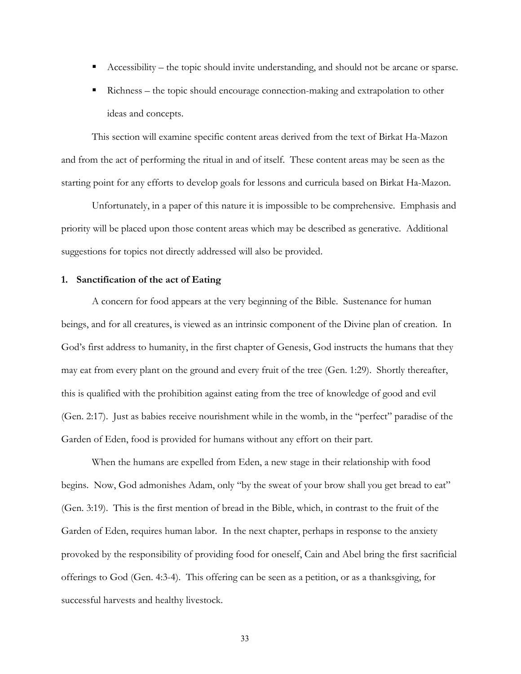- <span id="page-36-0"></span>Accessibility – the topic should invite understanding, and should not be arcane or sparse.
- Richness the topic should encourage connection-making and extrapolation to other ideas and concepts.

This section will examine specific content areas derived from the text of Birkat Ha-Mazon and from the act of performing the ritual in and of itself. These content areas may be seen as the starting point for any efforts to develop goals for lessons and curricula based on Birkat Ha-Mazon.

Unfortunately, in a paper of this nature it is impossible to be comprehensive. Emphasis and priority will be placed upon those content areas which may be described as generative. Additional suggestions for topics not directly addressed will also be provided.

### **1. Sanctification of the act of Eating**

A concern for food appears at the very beginning of the Bible. Sustenance for human beings, and for all creatures, is viewed as an intrinsic component of the Divine plan of creation. In God's first address to humanity, in the first chapter of Genesis, God instructs the humans that they may eat from every plant on the ground and every fruit of the tree (Gen. 1:29). Shortly thereafter, this is qualified with the prohibition against eating from the tree of knowledge of good and evil (Gen. 2:17). Just as babies receive nourishment while in the womb, in the "perfect" paradise of the Garden of Eden, food is provided for humans without any effort on their part.

When the humans are expelled from Eden, a new stage in their relationship with food begins. Now, God admonishes Adam, only "by the sweat of your brow shall you get bread to eat" (Gen. 3:19). This is the first mention of bread in the Bible, which, in contrast to the fruit of the Garden of Eden, requires human labor. In the next chapter, perhaps in response to the anxiety provoked by the responsibility of providing food for oneself, Cain and Abel bring the first sacrificial offerings to God (Gen. 4:3-4). This offering can be seen as a petition, or as a thanksgiving, for successful harvests and healthy livestock.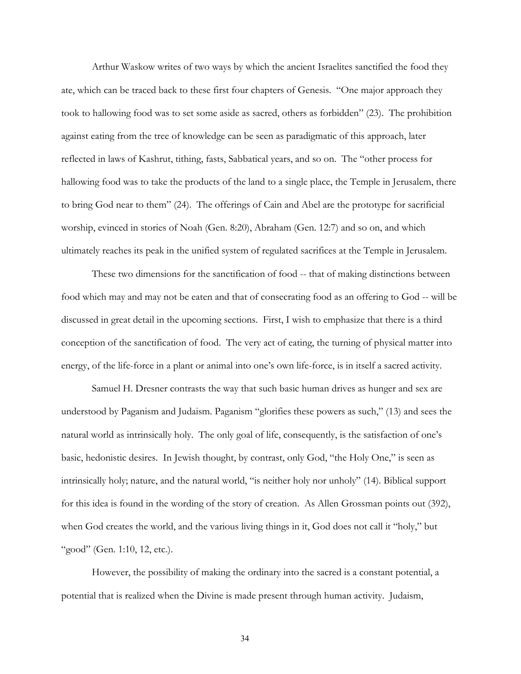Arthur Waskow writes of two ways by which the ancient Israelites sanctified the food they ate, which can be traced back to these first four chapters of Genesis. "One major approach they took to hallowing food was to set some aside as sacred, others as forbidden" (23). The prohibition against eating from the tree of knowledge can be seen as paradigmatic of this approach, later reflected in laws of Kashrut, tithing, fasts, Sabbatical years, and so on. The "other process for hallowing food was to take the products of the land to a single place, the Temple in Jerusalem, there to bring God near to them" (24). The offerings of Cain and Abel are the prototype for sacrificial worship, evinced in stories of Noah (Gen. 8:20), Abraham (Gen. 12:7) and so on, and which ultimately reaches its peak in the unified system of regulated sacrifices at the Temple in Jerusalem.

These two dimensions for the sanctification of food -- that of making distinctions between food which may and may not be eaten and that of consecrating food as an offering to God -- will be discussed in great detail in the upcoming sections. First, I wish to emphasize that there is a third conception of the sanctification of food. The very act of eating, the turning of physical matter into energy, of the life-force in a plant or animal into one's own life-force, is in itself a sacred activity.

Samuel H. Dresner contrasts the way that such basic human drives as hunger and sex are understood by Paganism and Judaism. Paganism "glorifies these powers as such," (13) and sees the natural world as intrinsically holy. The only goal of life, consequently, is the satisfaction of one's basic, hedonistic desires. In Jewish thought, by contrast, only God, "the Holy One," is seen as intrinsically holy; nature, and the natural world, "is neither holy nor unholy" (14). Biblical support for this idea is found in the wording of the story of creation. As Allen Grossman points out (392), when God creates the world, and the various living things in it, God does not call it "holy," but "good" (Gen. 1:10, 12, etc.).

However, the possibility of making the ordinary into the sacred is a constant potential, a potential that is realized when the Divine is made present through human activity. Judaism,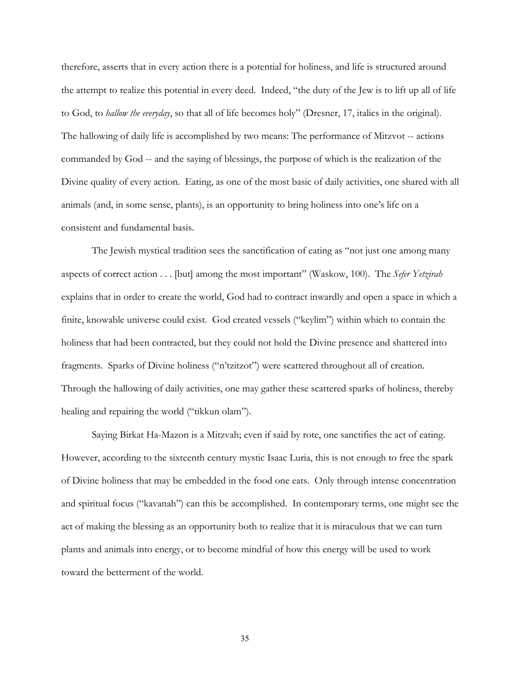therefore, asserts that in every action there is a potential for holiness, and life is structured around the attempt to realize this potential in every deed. Indeed, "the duty of the Jew is to lift up all of life to God, to *hallow the everyday*, so that all of life becomes holy" (Dresner, 17, italics in the original). The hallowing of daily life is accomplished by two means: The performance of Mitzvot -- actions commanded by God -- and the saying of blessings, the purpose of which is the realization of the Divine quality of every action. Eating, as one of the most basic of daily activities, one shared with all animals (and, in some sense, plants), is an opportunity to bring holiness into one's life on a consistent and fundamental basis.

The Jewish mystical tradition sees the sanctification of eating as "not just one among many aspects of correct action . . . [but] among the most important" (Waskow, 100). The *Sefer Yetzirah* explains that in order to create the world, God had to contract inwardly and open a space in which a finite, knowable universe could exist. God created vessels ("keylim") within which to contain the holiness that had been contracted, but they could not hold the Divine presence and shattered into fragments. Sparks of Divine holiness ("n'tzitzot") were scattered throughout all of creation. Through the hallowing of daily activities, one may gather these scattered sparks of holiness, thereby healing and repairing the world ("tikkun olam").

Saying Birkat Ha-Mazon is a Mitzvah; even if said by rote, one sanctifies the act of eating. However, according to the sixteenth century mystic Isaac Luria, this is not enough to free the spark of Divine holiness that may be embedded in the food one eats. Only through intense concentration and spiritual focus ("kavanah") can this be accomplished. In contemporary terms, one might see the act of making the blessing as an opportunity both to realize that it is miraculous that we can turn plants and animals into energy, or to become mindful of how this energy will be used to work toward the betterment of the world.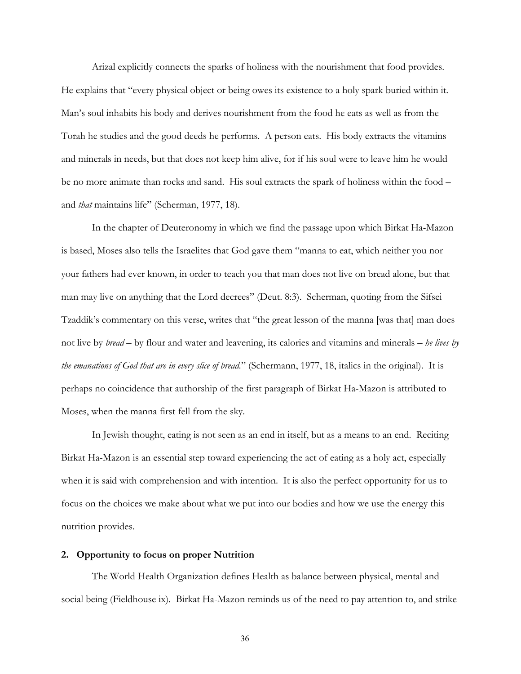<span id="page-39-0"></span>Arizal explicitly connects the sparks of holiness with the nourishment that food provides. He explains that "every physical object or being owes its existence to a holy spark buried within it. Man's soul inhabits his body and derives nourishment from the food he eats as well as from the Torah he studies and the good deeds he performs. A person eats. His body extracts the vitamins and minerals in needs, but that does not keep him alive, for if his soul were to leave him he would be no more animate than rocks and sand. His soul extracts the spark of holiness within the food – and *that* maintains life" (Scherman, 1977, 18).

In the chapter of Deuteronomy in which we find the passage upon which Birkat Ha-Mazon is based, Moses also tells the Israelites that God gave them "manna to eat, which neither you nor your fathers had ever known, in order to teach you that man does not live on bread alone, but that man may live on anything that the Lord decrees" (Deut. 8:3). Scherman, quoting from the Sifsei Tzaddik's commentary on this verse, writes that "the great lesson of the manna [was that] man does not live by *bread* – by flour and water and leavening, its calories and vitamins and minerals – *he lives by the emanations of God that are in every slice of bread.*" (Schermann, 1977, 18, italics in the original). It is perhaps no coincidence that authorship of the first paragraph of Birkat Ha-Mazon is attributed to Moses, when the manna first fell from the sky.

In Jewish thought, eating is not seen as an end in itself, but as a means to an end. Reciting Birkat Ha-Mazon is an essential step toward experiencing the act of eating as a holy act, especially when it is said with comprehension and with intention. It is also the perfect opportunity for us to focus on the choices we make about what we put into our bodies and how we use the energy this nutrition provides.

#### **2. Opportunity to focus on proper Nutrition**

The World Health Organization defines Health as balance between physical, mental and social being (Fieldhouse ix). Birkat Ha-Mazon reminds us of the need to pay attention to, and strike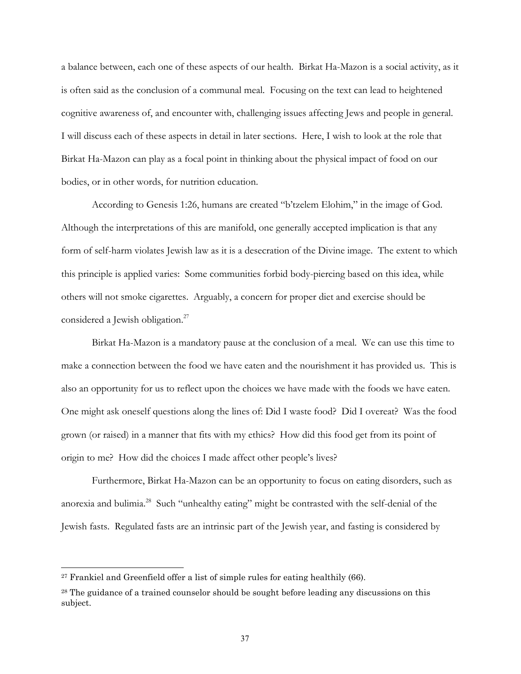a balance between, each one of these aspects of our health. Birkat Ha-Mazon is a social activity, as it is often said as the conclusion of a communal meal. Focusing on the text can lead to heightened cognitive awareness of, and encounter with, challenging issues affecting Jews and people in general. I will discuss each of these aspects in detail in later sections. Here, I wish to look at the role that Birkat Ha-Mazon can play as a focal point in thinking about the physical impact of food on our bodies, or in other words, for nutrition education.

According to Genesis 1:26, humans are created "b'tzelem Elohim," in the image of God. Although the interpretations of this are manifold, one generally accepted implication is that any form of self-harm violates Jewish law as it is a desecration of the Divine image. The extent to which this principle is applied varies: Some communities forbid body-piercing based on this idea, while others will not smoke cigarettes. Arguably, a concern for proper diet and exercise should be considered a Jewish obligation.<sup>[27](#page-40-0)</sup>

Birkat Ha-Mazon is a mandatory pause at the conclusion of a meal. We can use this time to make a connection between the food we have eaten and the nourishment it has provided us. This is also an opportunity for us to reflect upon the choices we have made with the foods we have eaten. One might ask oneself questions along the lines of: Did I waste food? Did I overeat? Was the food grown (or raised) in a manner that fits with my ethics? How did this food get from its point of origin to me? How did the choices I made affect other people's lives?

Furthermore, Birkat Ha-Mazon can be an opportunity to focus on eating disorders, such as anorexia and bulimia[.28](#page-40-1) Such "unhealthy eating" might be contrasted with the self-denial of the Jewish fasts. Regulated fasts are an intrinsic part of the Jewish year, and fasting is considered by

<span id="page-40-0"></span> $27$  Frankiel and Greenfield offer a list of simple rules for eating healthily (66).

<span id="page-40-1"></span><sup>&</sup>lt;sup>28</sup> The guidance of a trained counselor should be sought before leading any discussions on this subject.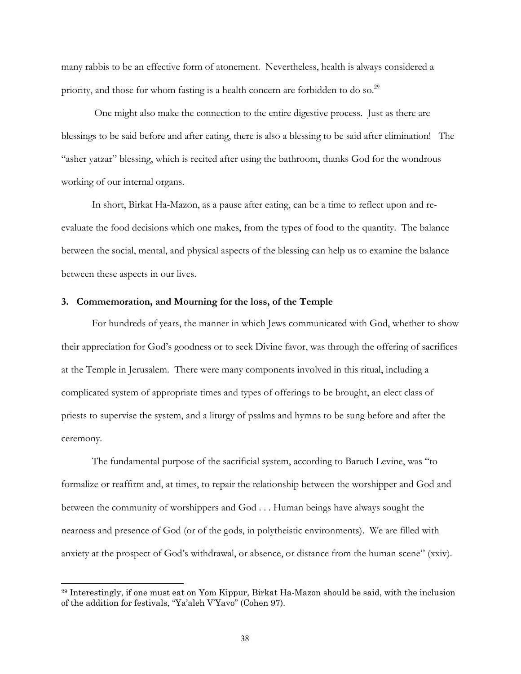<span id="page-41-0"></span>many rabbis to be an effective form of atonement. Nevertheless, health is always considered a priority, and those for whom fasting is a health concern are forbidden to do so.<sup>29</sup>

 One might also make the connection to the entire digestive process. Just as there are blessings to be said before and after eating, there is also a blessing to be said after elimination! The "asher yatzar" blessing, which is recited after using the bathroom, thanks God for the wondrous working of our internal organs.

In short, Birkat Ha-Mazon, as a pause after eating, can be a time to reflect upon and reevaluate the food decisions which one makes, from the types of food to the quantity. The balance between the social, mental, and physical aspects of the blessing can help us to examine the balance between these aspects in our lives.

### **3. Commemoration, and Mourning for the loss, of the Temple**

l

For hundreds of years, the manner in which Jews communicated with God, whether to show their appreciation for God's goodness or to seek Divine favor, was through the offering of sacrifices at the Temple in Jerusalem. There were many components involved in this ritual, including a complicated system of appropriate times and types of offerings to be brought, an elect class of priests to supervise the system, and a liturgy of psalms and hymns to be sung before and after the ceremony.

The fundamental purpose of the sacrificial system, according to Baruch Levine, was "to formalize or reaffirm and, at times, to repair the relationship between the worshipper and God and between the community of worshippers and God . . . Human beings have always sought the nearness and presence of God (or of the gods, in polytheistic environments). We are filled with anxiety at the prospect of God's withdrawal, or absence, or distance from the human scene" (xxiv).

<span id="page-41-1"></span><sup>29</sup> Interestingly, if one must eat on Yom Kippur, Birkat Ha-Mazon should be said, with the inclusion of the addition for festivals, "Ya'aleh V'Yavo" (Cohen 97).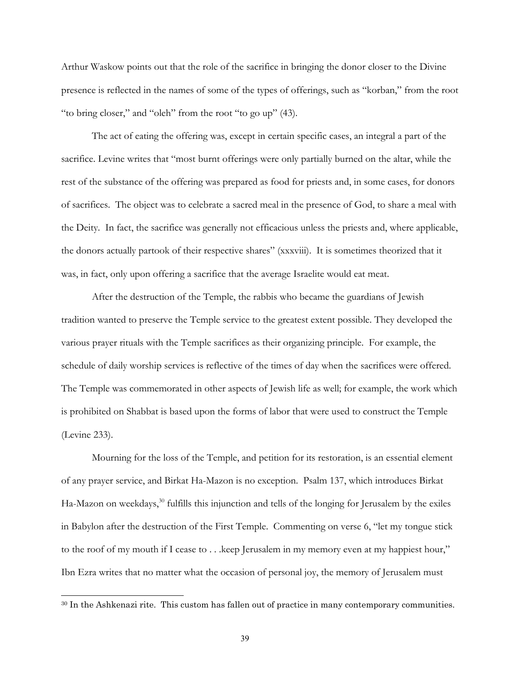Arthur Waskow points out that the role of the sacrifice in bringing the donor closer to the Divine presence is reflected in the names of some of the types of offerings, such as "korban," from the root "to bring closer," and "oleh" from the root "to go up" (43).

The act of eating the offering was, except in certain specific cases, an integral a part of the sacrifice. Levine writes that "most burnt offerings were only partially burned on the altar, while the rest of the substance of the offering was prepared as food for priests and, in some cases, for donors of sacrifices. The object was to celebrate a sacred meal in the presence of God, to share a meal with the Deity. In fact, the sacrifice was generally not efficacious unless the priests and, where applicable, the donors actually partook of their respective shares" (xxxviii). It is sometimes theorized that it was, in fact, only upon offering a sacrifice that the average Israelite would eat meat.

After the destruction of the Temple, the rabbis who became the guardians of Jewish tradition wanted to preserve the Temple service to the greatest extent possible. They developed the various prayer rituals with the Temple sacrifices as their organizing principle. For example, the schedule of daily worship services is reflective of the times of day when the sacrifices were offered. The Temple was commemorated in other aspects of Jewish life as well; for example, the work which is prohibited on Shabbat is based upon the forms of labor that were used to construct the Temple (Levine 233).

Mourning for the loss of the Temple, and petition for its restoration, is an essential element of any prayer service, and Birkat Ha-Mazon is no exception. Psalm 137, which introduces Birkat Ha-Mazon on weekdays, $30$  fulfills this injunction and tells of the longing for Jerusalem by the exiles in Babylon after the destruction of the First Temple. Commenting on verse 6, "let my tongue stick to the roof of my mouth if I cease to . . .keep Jerusalem in my memory even at my happiest hour," Ibn Ezra writes that no matter what the occasion of personal joy, the memory of Jerusalem must

 $\overline{\phantom{a}}$ 

<span id="page-42-0"></span><sup>30</sup> In the Ashkenazi rite. This custom has fallen out of practice in many contemporary communities.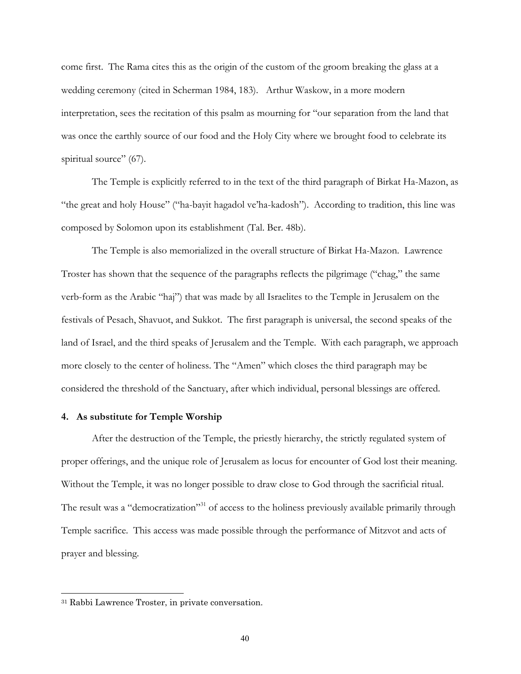<span id="page-43-0"></span>come first. The Rama cites this as the origin of the custom of the groom breaking the glass at a wedding ceremony (cited in Scherman 1984, 183). Arthur Waskow, in a more modern interpretation, sees the recitation of this psalm as mourning for "our separation from the land that was once the earthly source of our food and the Holy City where we brought food to celebrate its spiritual source" (67).

The Temple is explicitly referred to in the text of the third paragraph of Birkat Ha-Mazon, as "the great and holy House" ("ha-bayit hagadol ve'ha-kadosh"). According to tradition, this line was composed by Solomon upon its establishment (Tal. Ber. 48b).

The Temple is also memorialized in the overall structure of Birkat Ha-Mazon. Lawrence Troster has shown that the sequence of the paragraphs reflects the pilgrimage ("chag," the same verb-form as the Arabic "haj") that was made by all Israelites to the Temple in Jerusalem on the festivals of Pesach, Shavuot, and Sukkot. The first paragraph is universal, the second speaks of the land of Israel, and the third speaks of Jerusalem and the Temple. With each paragraph, we approach more closely to the center of holiness. The "Amen" which closes the third paragraph may be considered the threshold of the Sanctuary, after which individual, personal blessings are offered.

### **4. As substitute for Temple Worship**

After the destruction of the Temple, the priestly hierarchy, the strictly regulated system of proper offerings, and the unique role of Jerusalem as locus for encounter of God lost their meaning. Without the Temple, it was no longer possible to draw close to God through the sacrificial ritual. The result was a "democratization"<sup>31</sup> of access to the holiness previously available primarily through Temple sacrifice. This access was made possible through the performance of Mitzvot and acts of prayer and blessing.

l

<span id="page-43-1"></span><sup>31</sup> Rabbi Lawrence Troster, in private conversation.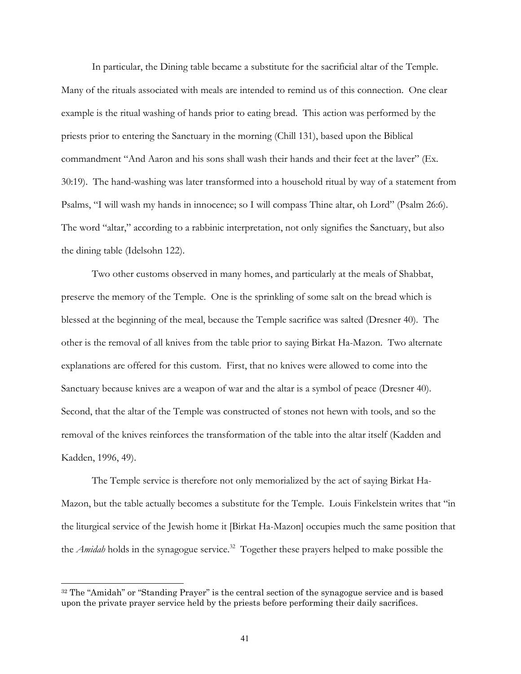In particular, the Dining table became a substitute for the sacrificial altar of the Temple. Many of the rituals associated with meals are intended to remind us of this connection. One clear example is the ritual washing of hands prior to eating bread. This action was performed by the priests prior to entering the Sanctuary in the morning (Chill 131), based upon the Biblical commandment "And Aaron and his sons shall wash their hands and their feet at the laver" (Ex. 30:19). The hand-washing was later transformed into a household ritual by way of a statement from Psalms, "I will wash my hands in innocence; so I will compass Thine altar, oh Lord" (Psalm 26:6). The word "altar," according to a rabbinic interpretation, not only signifies the Sanctuary, but also the dining table (Idelsohn 122).

Two other customs observed in many homes, and particularly at the meals of Shabbat, preserve the memory of the Temple. One is the sprinkling of some salt on the bread which is blessed at the beginning of the meal, because the Temple sacrifice was salted (Dresner 40). The other is the removal of all knives from the table prior to saying Birkat Ha-Mazon. Two alternate explanations are offered for this custom. First, that no knives were allowed to come into the Sanctuary because knives are a weapon of war and the altar is a symbol of peace (Dresner 40). Second, that the altar of the Temple was constructed of stones not hewn with tools, and so the removal of the knives reinforces the transformation of the table into the altar itself (Kadden and Kadden, 1996, 49).

The Temple service is therefore not only memorialized by the act of saying Birkat Ha-Mazon, but the table actually becomes a substitute for the Temple. Louis Finkelstein writes that "in the liturgical service of the Jewish home it [Birkat Ha-Mazon] occupies much the same position that the *Amidah* holds in the synagogue service.<sup>32</sup> Together these prayers helped to make possible the

l

<span id="page-44-0"></span><sup>&</sup>lt;sup>32</sup> The "Amidah" or "Standing Prayer" is the central section of the synagogue service and is based upon the private prayer service held by the priests before performing their daily sacrifices.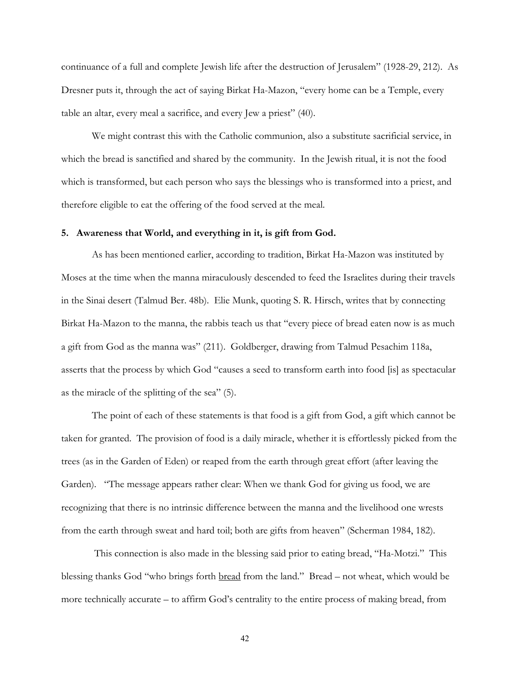<span id="page-45-0"></span>continuance of a full and complete Jewish life after the destruction of Jerusalem" (1928-29, 212). As Dresner puts it, through the act of saying Birkat Ha-Mazon, "every home can be a Temple, every table an altar, every meal a sacrifice, and every Jew a priest" (40).

We might contrast this with the Catholic communion, also a substitute sacrificial service, in which the bread is sanctified and shared by the community. In the Jewish ritual, it is not the food which is transformed, but each person who says the blessings who is transformed into a priest, and therefore eligible to eat the offering of the food served at the meal.

#### **5. Awareness that World, and everything in it, is gift from God.**

As has been mentioned earlier, according to tradition, Birkat Ha-Mazon was instituted by Moses at the time when the manna miraculously descended to feed the Israelites during their travels in the Sinai desert (Talmud Ber. 48b). Elie Munk, quoting S. R. Hirsch, writes that by connecting Birkat Ha-Mazon to the manna, the rabbis teach us that "every piece of bread eaten now is as much a gift from God as the manna was" (211). Goldberger, drawing from Talmud Pesachim 118a, asserts that the process by which God "causes a seed to transform earth into food [is] as spectacular as the miracle of the splitting of the sea" (5).

The point of each of these statements is that food is a gift from God, a gift which cannot be taken for granted. The provision of food is a daily miracle, whether it is effortlessly picked from the trees (as in the Garden of Eden) or reaped from the earth through great effort (after leaving the Garden). "The message appears rather clear: When we thank God for giving us food, we are recognizing that there is no intrinsic difference between the manna and the livelihood one wrests from the earth through sweat and hard toil; both are gifts from heaven" (Scherman 1984, 182).

 This connection is also made in the blessing said prior to eating bread, "Ha-Motzi." This blessing thanks God "who brings forth bread from the land." Bread – not wheat, which would be more technically accurate – to affirm God's centrality to the entire process of making bread, from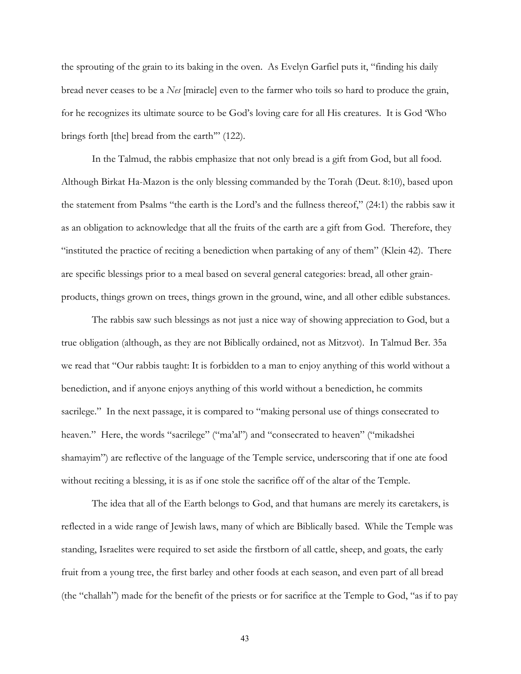the sprouting of the grain to its baking in the oven. As Evelyn Garfiel puts it, "finding his daily bread never ceases to be a *Nes* [miracle] even to the farmer who toils so hard to produce the grain, for he recognizes its ultimate source to be God's loving care for all His creatures. It is God 'Who brings forth [the] bread from the earth'" (122).

In the Talmud, the rabbis emphasize that not only bread is a gift from God, but all food. Although Birkat Ha-Mazon is the only blessing commanded by the Torah (Deut. 8:10), based upon the statement from Psalms "the earth is the Lord's and the fullness thereof," (24:1) the rabbis saw it as an obligation to acknowledge that all the fruits of the earth are a gift from God. Therefore, they "instituted the practice of reciting a benediction when partaking of any of them" (Klein 42). There are specific blessings prior to a meal based on several general categories: bread, all other grainproducts, things grown on trees, things grown in the ground, wine, and all other edible substances.

The rabbis saw such blessings as not just a nice way of showing appreciation to God, but a true obligation (although, as they are not Biblically ordained, not as Mitzvot). In Talmud Ber. 35a we read that "Our rabbis taught: It is forbidden to a man to enjoy anything of this world without a benediction, and if anyone enjoys anything of this world without a benediction, he commits sacrilege." In the next passage, it is compared to "making personal use of things consecrated to heaven." Here, the words "sacrilege" ("ma'al") and "consecrated to heaven" ("mikadshei shamayim") are reflective of the language of the Temple service, underscoring that if one ate food without reciting a blessing, it is as if one stole the sacrifice off of the altar of the Temple.

The idea that all of the Earth belongs to God, and that humans are merely its caretakers, is reflected in a wide range of Jewish laws, many of which are Biblically based. While the Temple was standing, Israelites were required to set aside the firstborn of all cattle, sheep, and goats, the early fruit from a young tree, the first barley and other foods at each season, and even part of all bread (the "challah") made for the benefit of the priests or for sacrifice at the Temple to God, "as if to pay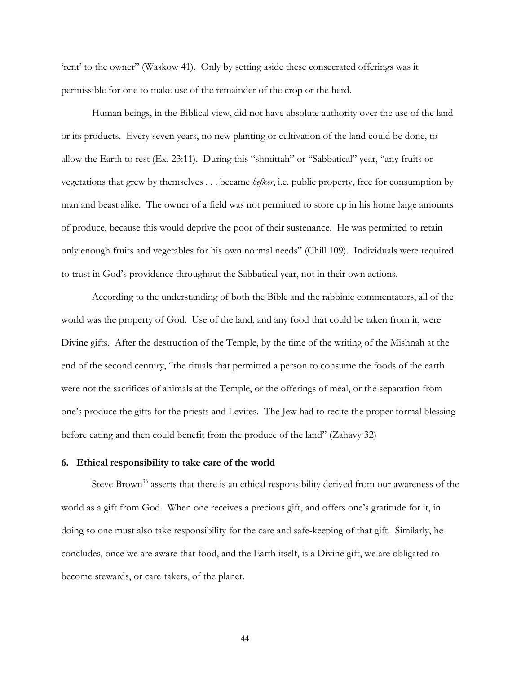<span id="page-47-0"></span>'rent' to the owner" (Waskow 41). Only by setting aside these consecrated offerings was it permissible for one to make use of the remainder of the crop or the herd.

Human beings, in the Biblical view, did not have absolute authority over the use of the land or its products. Every seven years, no new planting or cultivation of the land could be done, to allow the Earth to rest (Ex. 23:11). During this "shmittah" or "Sabbatical" year, "any fruits or vegetations that grew by themselves . . . became *hefker*, i.e. public property, free for consumption by man and beast alike. The owner of a field was not permitted to store up in his home large amounts of produce, because this would deprive the poor of their sustenance. He was permitted to retain only enough fruits and vegetables for his own normal needs" (Chill 109). Individuals were required to trust in God's providence throughout the Sabbatical year, not in their own actions.

According to the understanding of both the Bible and the rabbinic commentators, all of the world was the property of God. Use of the land, and any food that could be taken from it, were Divine gifts. After the destruction of the Temple, by the time of the writing of the Mishnah at the end of the second century, "the rituals that permitted a person to consume the foods of the earth were not the sacrifices of animals at the Temple, or the offerings of meal, or the separation from one's produce the gifts for the priests and Levites. The Jew had to recite the proper formal blessing before eating and then could benefit from the produce of the land" (Zahavy 32)

## **6. Ethical responsibility to take care of the world**

<span id="page-47-1"></span>Steve Brown<sup>33</sup> asserts that there is an ethical responsibility derived from our awareness of the world as a gift from God. When one receives a precious gift, and offers one's gratitude for it, in doing so one must also take responsibility for the care and safe-keeping of that gift. Similarly, he concludes, once we are aware that food, and the Earth itself, is a Divine gift, we are obligated to become stewards, or care-takers, of the planet.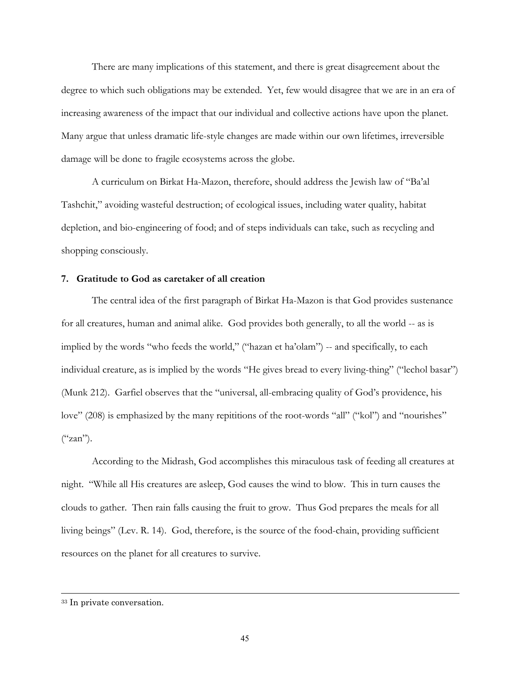<span id="page-48-0"></span>There are many implications of this statement, and there is great disagreement about the degree to which such obligations may be extended. Yet, few would disagree that we are in an era of increasing awareness of the impact that our individual and collective actions have upon the planet. Many argue that unless dramatic life-style changes are made within our own lifetimes, irreversible damage will be done to fragile ecosystems across the globe.

A curriculum on Birkat Ha-Mazon, therefore, should address the Jewish law of "Ba'al Tashchit," avoiding wasteful destruction; of ecological issues, including water quality, habitat depletion, and bio-engineering of food; and of steps individuals can take, such as recycling and shopping consciously.

### **7. Gratitude to God as caretaker of all creation**

The central idea of the first paragraph of Birkat Ha-Mazon is that God provides sustenance for all creatures, human and animal alike. God provides both generally, to all the world -- as is implied by the words "who feeds the world," ("hazan et ha'olam") -- and specifically, to each individual creature, as is implied by the words "He gives bread to every living-thing" ("lechol basar") (Munk 212). Garfiel observes that the "universal, all-embracing quality of God's providence, his love" (208) is emphasized by the many repititions of the root-words "all" ("kol") and "nourishes"  $("zan").$ 

According to the Midrash, God accomplishes this miraculous task of feeding all creatures at night. "While all His creatures are asleep, God causes the wind to blow. This in turn causes the clouds to gather. Then rain falls causing the fruit to grow. Thus God prepares the meals for all living beings" (Lev. R. 14). God, therefore, is the source of the food-chain, providing sufficient resources on the planet for all creatures to survive.

l

<sup>33</sup> In private conversation.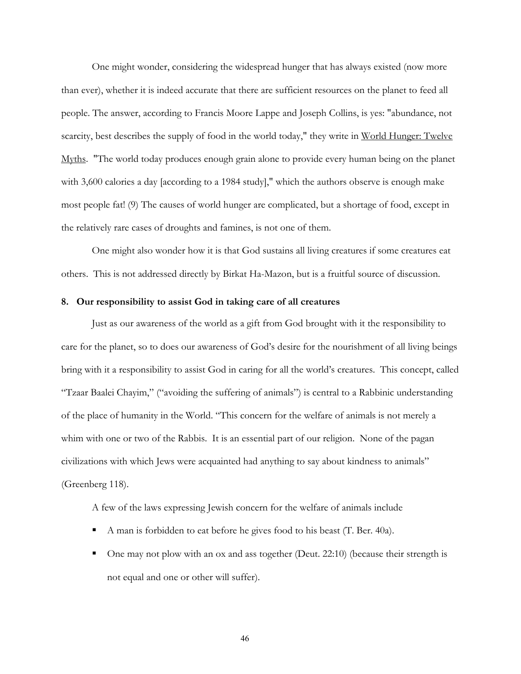<span id="page-49-0"></span>One might wonder, considering the widespread hunger that has always existed (now more than ever), whether it is indeed accurate that there are sufficient resources on the planet to feed all people. The answer, according to Francis Moore Lappe and Joseph Collins, is yes: "abundance, not scarcity, best describes the supply of food in the world today," they write in World Hunger: Twelve Myths. "The world today produces enough grain alone to provide every human being on the planet with 3,600 calories a day [according to a 1984 study]," which the authors observe is enough make most people fat! (9) The causes of world hunger are complicated, but a shortage of food, except in the relatively rare cases of droughts and famines, is not one of them.

One might also wonder how it is that God sustains all living creatures if some creatures eat others. This is not addressed directly by Birkat Ha-Mazon, but is a fruitful source of discussion.

## **8. Our responsibility to assist God in taking care of all creatures**

Just as our awareness of the world as a gift from God brought with it the responsibility to care for the planet, so to does our awareness of God's desire for the nourishment of all living beings bring with it a responsibility to assist God in caring for all the world's creatures. This concept, called "Tzaar Baalei Chayim," ("avoiding the suffering of animals") is central to a Rabbinic understanding of the place of humanity in the World. "This concern for the welfare of animals is not merely a whim with one or two of the Rabbis. It is an essential part of our religion. None of the pagan civilizations with which Jews were acquainted had anything to say about kindness to animals" (Greenberg 118).

A few of the laws expressing Jewish concern for the welfare of animals include

- A man is forbidden to eat before he gives food to his beast (T. Ber. 40a).
- One may not plow with an ox and ass together (Deut. 22:10) (because their strength is not equal and one or other will suffer).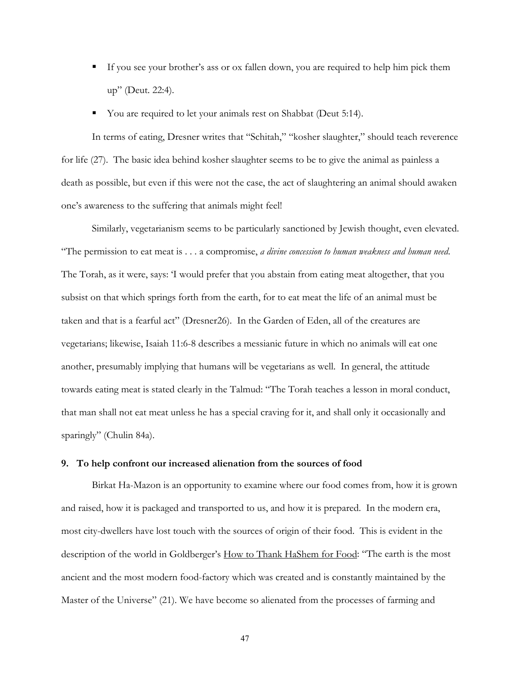- <span id="page-50-0"></span> If you see your brother's ass or ox fallen down, you are required to help him pick them up" (Deut. 22:4).
- You are required to let your animals rest on Shabbat (Deut 5:14).

In terms of eating, Dresner writes that "Schitah," "kosher slaughter," should teach reverence for life (27). The basic idea behind kosher slaughter seems to be to give the animal as painless a death as possible, but even if this were not the case, the act of slaughtering an animal should awaken one's awareness to the suffering that animals might feel!

Similarly, vegetarianism seems to be particularly sanctioned by Jewish thought, even elevated. "The permission to eat meat is . . . a compromise, *a divine concession to human weakness and human need*. The Torah, as it were, says: 'I would prefer that you abstain from eating meat altogether, that you subsist on that which springs forth from the earth, for to eat meat the life of an animal must be taken and that is a fearful act" (Dresner26). In the Garden of Eden, all of the creatures are vegetarians; likewise, Isaiah 11:6-8 describes a messianic future in which no animals will eat one another, presumably implying that humans will be vegetarians as well. In general, the attitude towards eating meat is stated clearly in the Talmud: "The Torah teaches a lesson in moral conduct, that man shall not eat meat unless he has a special craving for it, and shall only it occasionally and sparingly" (Chulin 84a).

## **9. To help confront our increased alienation from the sources of food**

Birkat Ha-Mazon is an opportunity to examine where our food comes from, how it is grown and raised, how it is packaged and transported to us, and how it is prepared. In the modern era, most city-dwellers have lost touch with the sources of origin of their food. This is evident in the description of the world in Goldberger's <u>How to Thank HaShem for Food</u>: "The earth is the most ancient and the most modern food-factory which was created and is constantly maintained by the Master of the Universe" (21). We have become so alienated from the processes of farming and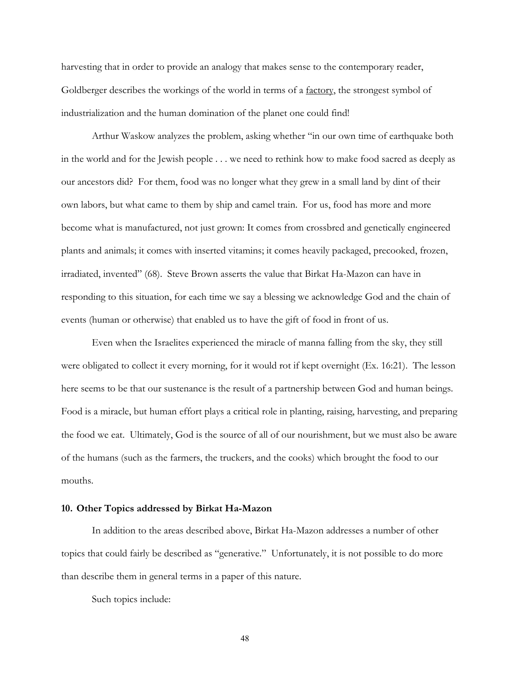<span id="page-51-0"></span>harvesting that in order to provide an analogy that makes sense to the contemporary reader, Goldberger describes the workings of the world in terms of a <u>factory</u>, the strongest symbol of industrialization and the human domination of the planet one could find!

Arthur Waskow analyzes the problem, asking whether "in our own time of earthquake both in the world and for the Jewish people . . . we need to rethink how to make food sacred as deeply as our ancestors did? For them, food was no longer what they grew in a small land by dint of their own labors, but what came to them by ship and camel train. For us, food has more and more become what is manufactured, not just grown: It comes from crossbred and genetically engineered plants and animals; it comes with inserted vitamins; it comes heavily packaged, precooked, frozen, irradiated, invented" (68). Steve Brown asserts the value that Birkat Ha-Mazon can have in responding to this situation, for each time we say a blessing we acknowledge God and the chain of events (human or otherwise) that enabled us to have the gift of food in front of us.

Even when the Israelites experienced the miracle of manna falling from the sky, they still were obligated to collect it every morning, for it would rot if kept overnight (Ex. 16:21). The lesson here seems to be that our sustenance is the result of a partnership between God and human beings. Food is a miracle, but human effort plays a critical role in planting, raising, harvesting, and preparing the food we eat. Ultimately, God is the source of all of our nourishment, but we must also be aware of the humans (such as the farmers, the truckers, and the cooks) which brought the food to our mouths.

#### **10. Other Topics addressed by Birkat Ha-Mazon**

In addition to the areas described above, Birkat Ha-Mazon addresses a number of other topics that could fairly be described as "generative." Unfortunately, it is not possible to do more than describe them in general terms in a paper of this nature.

Such topics include: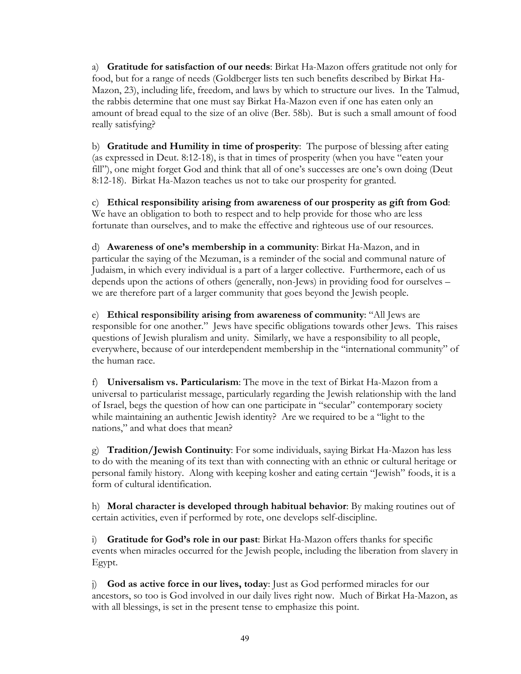a) **Gratitude for satisfaction of our needs**: Birkat Ha-Mazon offers gratitude not only for food, but for a range of needs (Goldberger lists ten such benefits described by Birkat Ha-Mazon, 23), including life, freedom, and laws by which to structure our lives. In the Talmud, the rabbis determine that one must say Birkat Ha-Mazon even if one has eaten only an amount of bread equal to the size of an olive (Ber. 58b). But is such a small amount of food really satisfying?

b) **Gratitude and Humility in time of prosperity**: The purpose of blessing after eating (as expressed in Deut. 8:12-18), is that in times of prosperity (when you have "eaten your fill"), one might forget God and think that all of one's successes are one's own doing (Deut 8:12-18). Birkat Ha-Mazon teaches us not to take our prosperity for granted.

c) **Ethical responsibility arising from awareness of our prosperity as gift from God**: We have an obligation to both to respect and to help provide for those who are less fortunate than ourselves, and to make the effective and righteous use of our resources.

d) **Awareness of one's membership in a community**: Birkat Ha-Mazon, and in particular the saying of the Mezuman, is a reminder of the social and communal nature of Judaism, in which every individual is a part of a larger collective. Furthermore, each of us depends upon the actions of others (generally, non-Jews) in providing food for ourselves – we are therefore part of a larger community that goes beyond the Jewish people.

e) **Ethical responsibility arising from awareness of community**: "All Jews are responsible for one another." Jews have specific obligations towards other Jews. This raises questions of Jewish pluralism and unity. Similarly, we have a responsibility to all people, everywhere, because of our interdependent membership in the "international community" of the human race.

f) **Universalism vs. Particularism**: The move in the text of Birkat Ha-Mazon from a universal to particularist message, particularly regarding the Jewish relationship with the land of Israel, begs the question of how can one participate in "secular" contemporary society while maintaining an authentic Jewish identity? Are we required to be a "light to the nations," and what does that mean?

g) **Tradition/Jewish Continuity**: For some individuals, saying Birkat Ha-Mazon has less to do with the meaning of its text than with connecting with an ethnic or cultural heritage or personal family history. Along with keeping kosher and eating certain "Jewish" foods, it is a form of cultural identification.

h) **Moral character is developed through habitual behavior**: By making routines out of certain activities, even if performed by rote, one develops self-discipline.

i) **Gratitude for God's role in our past**: Birkat Ha-Mazon offers thanks for specific events when miracles occurred for the Jewish people, including the liberation from slavery in Egypt.

j) **God as active force in our lives, today**: Just as God performed miracles for our ancestors, so too is God involved in our daily lives right now. Much of Birkat Ha-Mazon, as with all blessings, is set in the present tense to emphasize this point.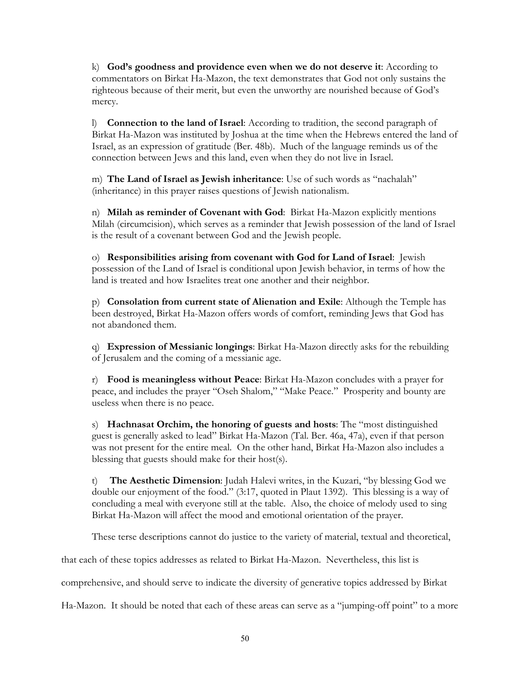k) **God's goodness and providence even when we do not deserve it**: According to commentators on Birkat Ha-Mazon, the text demonstrates that God not only sustains the righteous because of their merit, but even the unworthy are nourished because of God's mercy.

l) **Connection to the land of Israel**: According to tradition, the second paragraph of Birkat Ha-Mazon was instituted by Joshua at the time when the Hebrews entered the land of Israel, as an expression of gratitude (Ber. 48b). Much of the language reminds us of the connection between Jews and this land, even when they do not live in Israel.

m) **The Land of Israel as Jewish inheritance**: Use of such words as "nachalah" (inheritance) in this prayer raises questions of Jewish nationalism.

n) **Milah as reminder of Covenant with God**: Birkat Ha-Mazon explicitly mentions Milah (circumcision), which serves as a reminder that Jewish possession of the land of Israel is the result of a covenant between God and the Jewish people.

o) **Responsibilities arising from covenant with God for Land of Israel**: Jewish possession of the Land of Israel is conditional upon Jewish behavior, in terms of how the land is treated and how Israelites treat one another and their neighbor.

p) **Consolation from current state of Alienation and Exile**: Although the Temple has been destroyed, Birkat Ha-Mazon offers words of comfort, reminding Jews that God has not abandoned them.

q) **Expression of Messianic longings**: Birkat Ha-Mazon directly asks for the rebuilding of Jerusalem and the coming of a messianic age.

r) **Food is meaningless without Peace**: Birkat Ha-Mazon concludes with a prayer for peace, and includes the prayer "Oseh Shalom," "Make Peace." Prosperity and bounty are useless when there is no peace.

s) **Hachnasat Orchim, the honoring of guests and hosts**: The "most distinguished guest is generally asked to lead" Birkat Ha-Mazon (Tal. Ber. 46a, 47a), even if that person was not present for the entire meal. On the other hand, Birkat Ha-Mazon also includes a blessing that guests should make for their host(s).

t) **The Aesthetic Dimension**: Judah Halevi writes, in the Kuzari, "by blessing God we double our enjoyment of the food." (3:17, quoted in Plaut 1392). This blessing is a way of concluding a meal with everyone still at the table. Also, the choice of melody used to sing Birkat Ha-Mazon will affect the mood and emotional orientation of the prayer.

These terse descriptions cannot do justice to the variety of material, textual and theoretical,

that each of these topics addresses as related to Birkat Ha-Mazon. Nevertheless, this list is

comprehensive, and should serve to indicate the diversity of generative topics addressed by Birkat

Ha-Mazon. It should be noted that each of these areas can serve as a "jumping-off point" to a more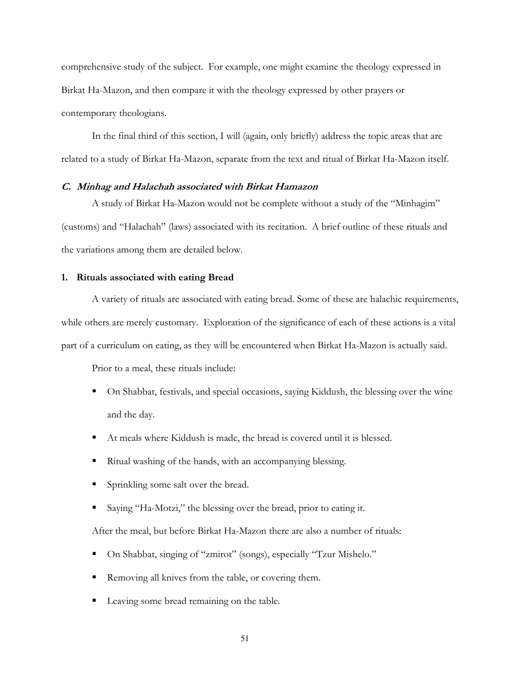<span id="page-54-0"></span>comprehensive study of the subject. For example, one might examine the theology expressed in Birkat Ha-Mazon, and then compare it with the theology expressed by other prayers or contemporary theologians.

In the final third of this section, I will (again, only briefly) address the topic areas that are related to a study of Birkat Ha-Mazon, separate from the text and ritual of Birkat Ha-Mazon itself.

## **C. Minhag and Halachah associated with Birkat Hamazon**

A study of Birkat Ha-Mazon would not be complete without a study of the "Minhagim" (customs) and "Halachah" (laws) associated with its recitation. A brief outline of these rituals and the variations among them are detailed below.

### **1. Rituals associated with eating Bread**

A variety of rituals are associated with eating bread. Some of these are halachic requirements, while others are merely customary. Exploration of the significance of each of these actions is a vital part of a curriculum on eating, as they will be encountered when Birkat Ha-Mazon is actually said.

Prior to a meal, these rituals include:

- On Shabbat, festivals, and special occasions, saying Kiddush, the blessing over the wine and the day.
- At meals where Kiddush is made, the bread is covered until it is blessed.
- Ritual washing of the hands, with an accompanying blessing.
- Sprinkling some salt over the bread.
- Saying "Ha-Motzi," the blessing over the bread, prior to eating it.

After the meal, but before Birkat Ha-Mazon there are also a number of rituals:

- On Shabbat, singing of "zmirot" (songs), especially "Tzur Mishelo."
- Removing all knives from the table, or covering them.
- Leaving some bread remaining on the table.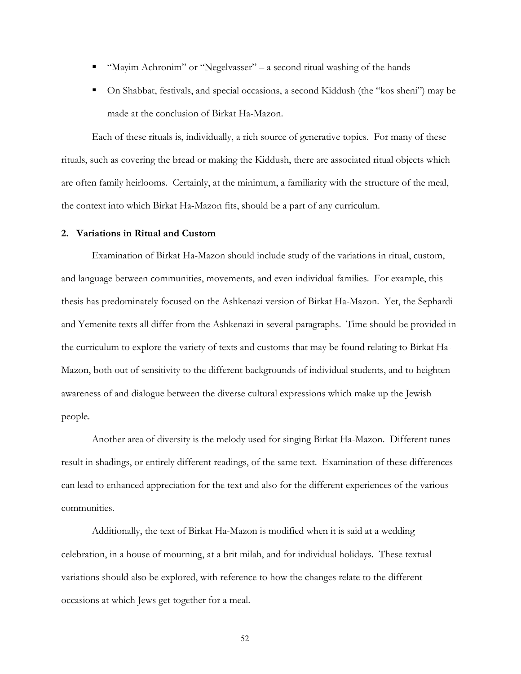- <span id="page-55-0"></span>■ "Mayim Achronim" or "Negelvasser" – a second ritual washing of the hands
- On Shabbat, festivals, and special occasions, a second Kiddush (the "kos sheni") may be made at the conclusion of Birkat Ha-Mazon.

Each of these rituals is, individually, a rich source of generative topics. For many of these rituals, such as covering the bread or making the Kiddush, there are associated ritual objects which are often family heirlooms. Certainly, at the minimum, a familiarity with the structure of the meal, the context into which Birkat Ha-Mazon fits, should be a part of any curriculum.

#### **2. Variations in Ritual and Custom**

Examination of Birkat Ha-Mazon should include study of the variations in ritual, custom, and language between communities, movements, and even individual families. For example, this thesis has predominately focused on the Ashkenazi version of Birkat Ha-Mazon. Yet, the Sephardi and Yemenite texts all differ from the Ashkenazi in several paragraphs. Time should be provided in the curriculum to explore the variety of texts and customs that may be found relating to Birkat Ha-Mazon, both out of sensitivity to the different backgrounds of individual students, and to heighten awareness of and dialogue between the diverse cultural expressions which make up the Jewish people.

Another area of diversity is the melody used for singing Birkat Ha-Mazon. Different tunes result in shadings, or entirely different readings, of the same text. Examination of these differences can lead to enhanced appreciation for the text and also for the different experiences of the various communities.

Additionally, the text of Birkat Ha-Mazon is modified when it is said at a wedding celebration, in a house of mourning, at a brit milah, and for individual holidays. These textual variations should also be explored, with reference to how the changes relate to the different occasions at which Jews get together for a meal.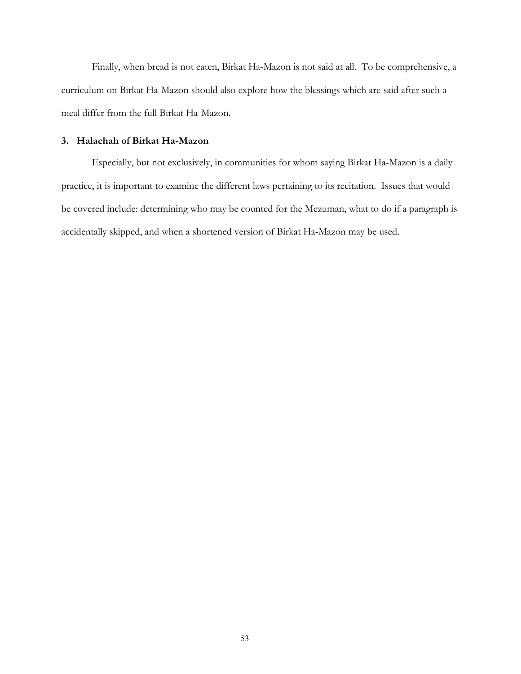<span id="page-56-0"></span>Finally, when bread is not eaten, Birkat Ha-Mazon is not said at all. To be comprehensive, a curriculum on Birkat Ha-Mazon should also explore how the blessings which are said after such a meal differ from the full Birkat Ha-Mazon.

## **3. Halachah of Birkat Ha-Mazon**

Especially, but not exclusively, in communities for whom saying Birkat Ha-Mazon is a daily practice, it is important to examine the different laws pertaining to its recitation. Issues that would be covered include: determining who may be counted for the Mezuman, what to do if a paragraph is accidentally skipped, and when a shortened version of Birkat Ha-Mazon may be used.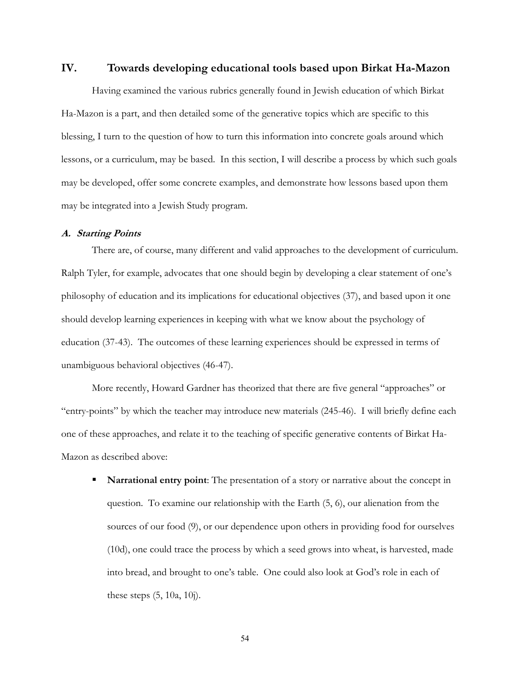## <span id="page-57-0"></span>**IV. Towards developing educational tools based upon Birkat Ha-Mazon**

Having examined the various rubrics generally found in Jewish education of which Birkat Ha-Mazon is a part, and then detailed some of the generative topics which are specific to this blessing, I turn to the question of how to turn this information into concrete goals around which lessons, or a curriculum, may be based. In this section, I will describe a process by which such goals may be developed, offer some concrete examples, and demonstrate how lessons based upon them may be integrated into a Jewish Study program.

## **A. Starting Points**

There are, of course, many different and valid approaches to the development of curriculum. Ralph Tyler, for example, advocates that one should begin by developing a clear statement of one's philosophy of education and its implications for educational objectives (37), and based upon it one should develop learning experiences in keeping with what we know about the psychology of education (37-43). The outcomes of these learning experiences should be expressed in terms of unambiguous behavioral objectives (46-47).

More recently, Howard Gardner has theorized that there are five general "approaches" or "entry-points" by which the teacher may introduce new materials (245-46). I will briefly define each one of these approaches, and relate it to the teaching of specific generative contents of Birkat Ha-Mazon as described above:

**Narrational entry point:** The presentation of a story or narrative about the concept in question. To examine our relationship with the Earth (5, 6), our alienation from the sources of our food (9), or our dependence upon others in providing food for ourselves (10d), one could trace the process by which a seed grows into wheat, is harvested, made into bread, and brought to one's table. One could also look at God's role in each of these steps (5, 10a, 10j).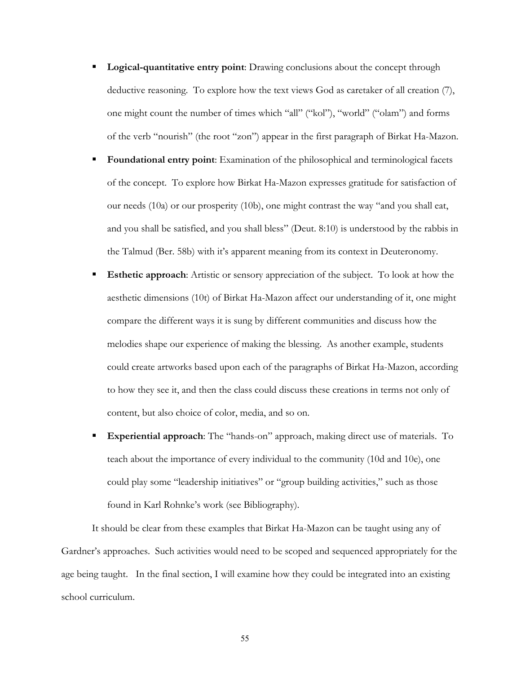- **Logical-quantitative entry point:** Drawing conclusions about the concept through deductive reasoning. To explore how the text views God as caretaker of all creation (7), one might count the number of times which "all" ("kol"), "world" ("olam") and forms of the verb "nourish" (the root "zon") appear in the first paragraph of Birkat Ha-Mazon.
- **Foundational entry point:** Examination of the philosophical and terminological facets of the concept. To explore how Birkat Ha-Mazon expresses gratitude for satisfaction of our needs (10a) or our prosperity (10b), one might contrast the way "and you shall eat, and you shall be satisfied, and you shall bless" (Deut. 8:10) is understood by the rabbis in the Talmud (Ber. 58b) with it's apparent meaning from its context in Deuteronomy.
- **Esthetic approach**: Artistic or sensory appreciation of the subject. To look at how the aesthetic dimensions (10t) of Birkat Ha-Mazon affect our understanding of it, one might compare the different ways it is sung by different communities and discuss how the melodies shape our experience of making the blessing. As another example, students could create artworks based upon each of the paragraphs of Birkat Ha-Mazon, according to how they see it, and then the class could discuss these creations in terms not only of content, but also choice of color, media, and so on.
- **Experiential approach**: The "hands-on" approach, making direct use of materials. To teach about the importance of every individual to the community (10d and 10e), one could play some "leadership initiatives" or "group building activities," such as those found in Karl Rohnke's work (see Bibliography).

It should be clear from these examples that Birkat Ha-Mazon can be taught using any of Gardner's approaches. Such activities would need to be scoped and sequenced appropriately for the age being taught. In the final section, I will examine how they could be integrated into an existing school curriculum.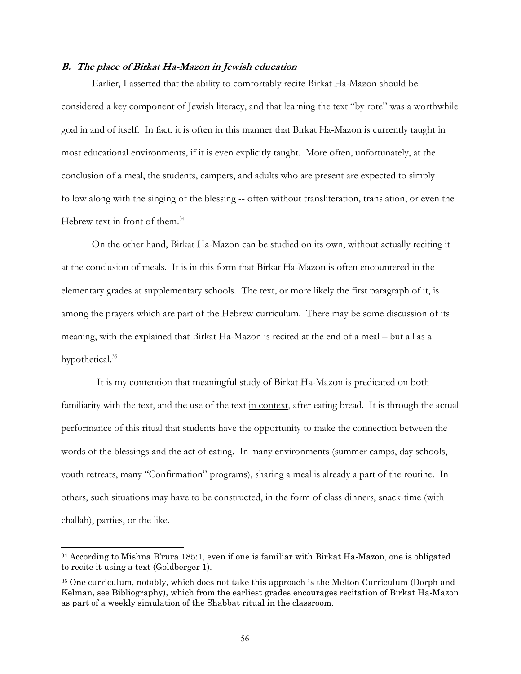#### <span id="page-59-0"></span>**B. The place of Birkat Ha-Mazon in Jewish education**

Earlier, I asserted that the ability to comfortably recite Birkat Ha-Mazon should be considered a key component of Jewish literacy, and that learning the text "by rote" was a worthwhile goal in and of itself. In fact, it is often in this manner that Birkat Ha-Mazon is currently taught in most educational environments, if it is even explicitly taught. More often, unfortunately, at the conclusion of a meal, the students, campers, and adults who are present are expected to simply follow along with the singing of the blessing -- often without transliteration, translation, or even the Hebrew text in front of them.<sup>[34](#page-59-1)</sup>

On the other hand, Birkat Ha-Mazon can be studied on its own, without actually reciting it at the conclusion of meals. It is in this form that Birkat Ha-Mazon is often encountered in the elementary grades at supplementary schools. The text, or more likely the first paragraph of it, is among the prayers which are part of the Hebrew curriculum. There may be some discussion of its meaning, with the explained that Birkat Ha-Mazon is recited at the end of a meal – but all as a hypothetical.<sup>35</sup>

 It is my contention that meaningful study of Birkat Ha-Mazon is predicated on both familiarity with the text, and the use of the text in context, after eating bread. It is through the actual performance of this ritual that students have the opportunity to make the connection between the words of the blessings and the act of eating. In many environments (summer camps, day schools, youth retreats, many "Confirmation" programs), sharing a meal is already a part of the routine. In others, such situations may have to be constructed, in the form of class dinners, snack-time (with challah), parties, or the like.

 $\overline{\phantom{a}}$ 

<span id="page-59-1"></span><sup>34</sup> According to Mishna B'rura 185:1, even if one is familiar with Birkat Ha-Mazon, one is obligated to recite it using a text (Goldberger 1).

<span id="page-59-2"></span><sup>&</sup>lt;sup>35</sup> One curriculum, notably, which does not take this approach is the Melton Curriculum (Dorph and Kelman, see Bibliography), which from the earliest grades encourages recitation of Birkat Ha-Mazon as part of a weekly simulation of the Shabbat ritual in the classroom.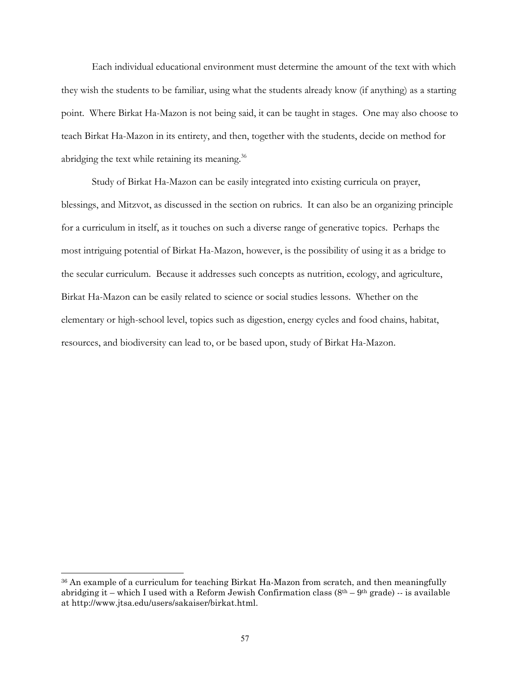Each individual educational environment must determine the amount of the text with which they wish the students to be familiar, using what the students already know (if anything) as a starting point. Where Birkat Ha-Mazon is not being said, it can be taught in stages. One may also choose to teach Birkat Ha-Mazon in its entirety, and then, together with the students, decide on method for abridging the text while retaining its meaning.<sup>[36](#page-60-0)</sup>

Study of Birkat Ha-Mazon can be easily integrated into existing curricula on prayer, blessings, and Mitzvot, as discussed in the section on rubrics. It can also be an organizing principle for a curriculum in itself, as it touches on such a diverse range of generative topics. Perhaps the most intriguing potential of Birkat Ha-Mazon, however, is the possibility of using it as a bridge to the secular curriculum. Because it addresses such concepts as nutrition, ecology, and agriculture, Birkat Ha-Mazon can be easily related to science or social studies lessons. Whether on the elementary or high-school level, topics such as digestion, energy cycles and food chains, habitat, resources, and biodiversity can lead to, or be based upon, study of Birkat Ha-Mazon.

<span id="page-60-0"></span><sup>36</sup> An example of a curriculum for teaching Birkat Ha-Mazon from scratch, and then meaningfully abridging it – which I used with a Reform Jewish Confirmation class  $(8<sup>th</sup> – 9<sup>th</sup> grade) -$  is available at http://www.jtsa.edu/users/sakaiser/birkat.html.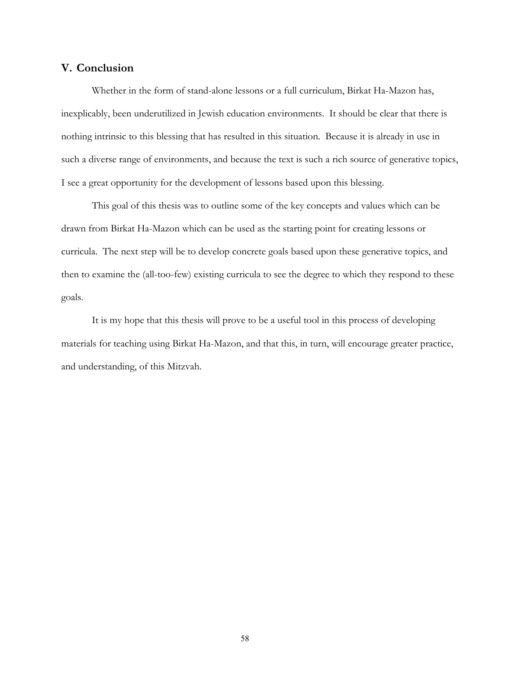## <span id="page-61-0"></span>**V. Conclusion**

Whether in the form of stand-alone lessons or a full curriculum, Birkat Ha-Mazon has, inexplicably, been underutilized in Jewish education environments. It should be clear that there is nothing intrinsic to this blessing that has resulted in this situation. Because it is already in use in such a diverse range of environments, and because the text is such a rich source of generative topics, I see a great opportunity for the development of lessons based upon this blessing.

This goal of this thesis was to outline some of the key concepts and values which can be drawn from Birkat Ha-Mazon which can be used as the starting point for creating lessons or curricula. The next step will be to develop concrete goals based upon these generative topics, and then to examine the (all-too-few) existing curricula to see the degree to which they respond to these goals.

It is my hope that this thesis will prove to be a useful tool in this process of developing materials for teaching using Birkat Ha-Mazon, and that this, in turn, will encourage greater practice, and understanding, of this Mitzvah.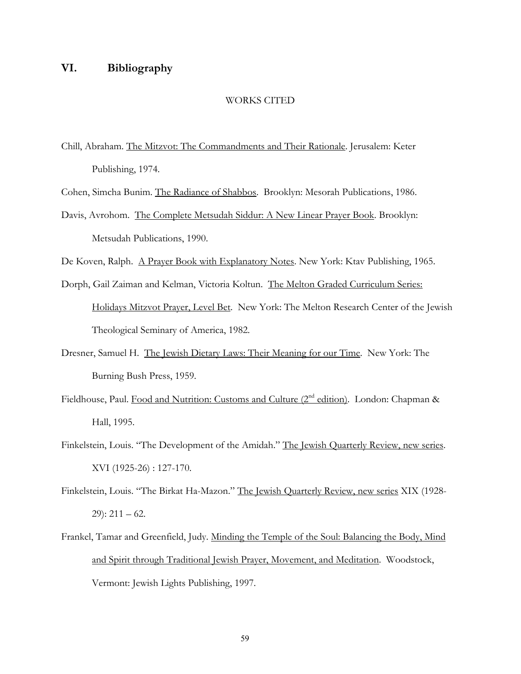# <span id="page-62-0"></span>**VI. Bibliography**

### WORKS CITED

- Chill, Abraham. The Mitzvot: The Commandments and Their Rationale. Jerusalem: Keter Publishing, 1974.
- Cohen, Simcha Bunim. The Radiance of Shabbos. Brooklyn: Mesorah Publications, 1986.
- Davis, Avrohom. The Complete Metsudah Siddur: A New Linear Prayer Book. Brooklyn: Metsudah Publications, 1990.
- De Koven, Ralph. A Prayer Book with Explanatory Notes. New York: Ktav Publishing, 1965.
- Dorph, Gail Zaiman and Kelman, Victoria Koltun. The Melton Graded Curriculum Series: Holidays Mitzvot Prayer, Level Bet. New York: The Melton Research Center of the Jewish Theological Seminary of America, 1982.
- Dresner, Samuel H. The Jewish Dietary Laws: Their Meaning for our Time. New York: The Burning Bush Press, 1959.
- Fieldhouse, Paul. Food and Nutrition: Customs and Culture (2<sup>nd</sup> edition). London: Chapman & Hall, 1995.
- Finkelstein, Louis. "The Development of the Amidah." The Jewish Quarterly Review, new series. XVI (1925-26) : 127-170.
- Finkelstein, Louis. "The Birkat Ha-Mazon." The Jewish Quarterly Review, new series XIX (1928-  $29$ :  $211 - 62$ .
- Frankel, Tamar and Greenfield, Judy. Minding the Temple of the Soul: Balancing the Body, Mind and Spirit through Traditional Jewish Prayer, Movement, and Meditation. Woodstock, Vermont: Jewish Lights Publishing, 1997.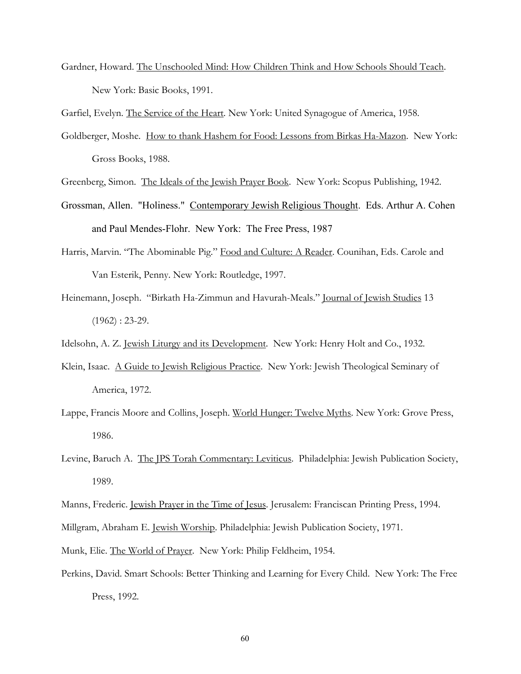Gardner, Howard. The Unschooled Mind: How Children Think and How Schools Should Teach. New York: Basic Books, 1991.

Garfiel, Evelyn. The Service of the Heart. New York: United Synagogue of America, 1958.

- Goldberger, Moshe. How to thank Hashem for Food: Lessons from Birkas Ha-Mazon. New York: Gross Books, 1988.
- Greenberg, Simon. The Ideals of the Jewish Prayer Book. New York: Scopus Publishing, 1942.
- Grossman, Allen. "Holiness." Contemporary Jewish Religious Thought. Eds. Arthur A. Cohen and Paul Mendes-Flohr. New York: The Free Press, 1987
- Harris, Marvin. "The Abominable Pig." Food and Culture: A Reader. Counihan, Eds. Carole and Van Esterik, Penny. New York: Routledge, 1997.
- Heinemann, Joseph. "Birkath Ha-Zimmun and Havurah-Meals." Journal of Jewish Studies 13  $(1962): 23-29.$
- Idelsohn, A. Z. Jewish Liturgy and its Development. New York: Henry Holt and Co., 1932.
- Klein, Isaac. A Guide to Jewish Religious Practice. New York: Jewish Theological Seminary of America, 1972.
- Lappe, Francis Moore and Collins, Joseph. World Hunger: Twelve Myths. New York: Grove Press, 1986.
- Levine, Baruch A. The JPS Torah Commentary: Leviticus. Philadelphia: Jewish Publication Society, 1989.
- Manns, Frederic. Jewish Prayer in the Time of Jesus. Jerusalem: Franciscan Printing Press, 1994.
- Millgram, Abraham E. Jewish Worship. Philadelphia: Jewish Publication Society, 1971.
- Munk, Elie. The World of Prayer. New York: Philip Feldheim, 1954.
- Perkins, David. Smart Schools: Better Thinking and Learning for Every Child. New York: The Free Press, 1992.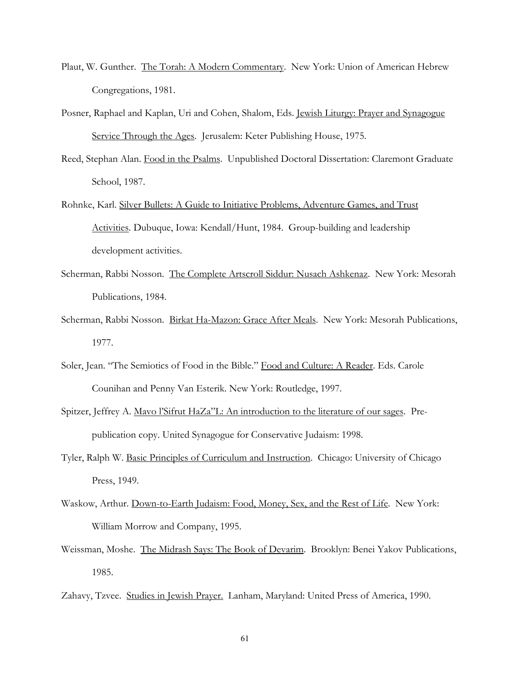- Plaut, W. Gunther. The Torah: A Modern Commentary. New York: Union of American Hebrew Congregations, 1981.
- Posner, Raphael and Kaplan, Uri and Cohen, Shalom, Eds. Jewish Liturgy: Prayer and Synagogue Service Through the Ages. Jerusalem: Keter Publishing House, 1975.
- Reed, Stephan Alan. Food in the Psalms. Unpublished Doctoral Dissertation: Claremont Graduate School, 1987.
- Rohnke, Karl. Silver Bullets: A Guide to Initiative Problems, Adventure Games, and Trust Activities. Dubuque, Iowa: Kendall/Hunt, 1984. Group-building and leadership development activities.
- Scherman, Rabbi Nosson. The Complete Artscroll Siddur: Nusach Ashkenaz. New York: Mesorah Publications, 1984.
- Scherman, Rabbi Nosson. Birkat Ha-Mazon: Grace After Meals. New York: Mesorah Publications, 1977.
- Soler, Jean. "The Semiotics of Food in the Bible." Food and Culture: A Reader. Eds. Carole Counihan and Penny Van Esterik. New York: Routledge, 1997.
- Spitzer, Jeffrey A. Mavo l'Sifrut HaZa"L: An introduction to the literature of our sages. Prepublication copy. United Synagogue for Conservative Judaism: 1998.
- Tyler, Ralph W. Basic Principles of Curriculum and Instruction. Chicago: University of Chicago Press, 1949.
- Waskow, Arthur. Down-to-Earth Judaism: Food, Money, Sex, and the Rest of Life. New York: William Morrow and Company, 1995.
- Weissman, Moshe. The Midrash Says: The Book of Devarim. Brooklyn: Benei Yakov Publications, 1985.
- Zahavy, Tzvee. Studies in Jewish Prayer. Lanham, Maryland: United Press of America, 1990.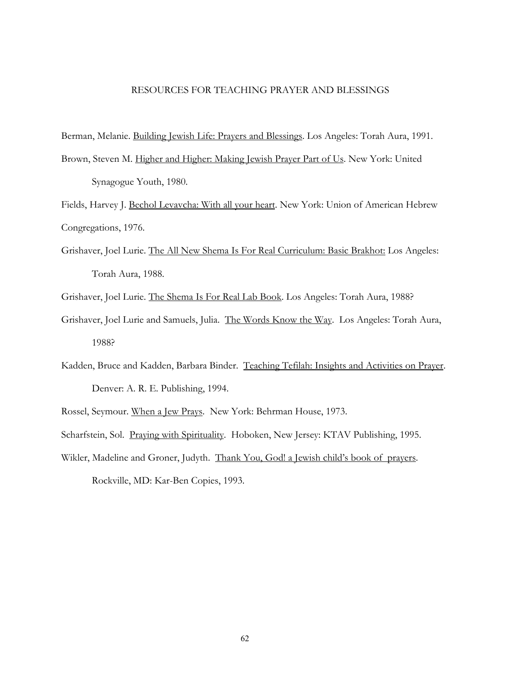### RESOURCES FOR TEACHING PRAYER AND BLESSINGS

Berman, Melanie. Building Jewish Life: Prayers and Blessings. Los Angeles: Torah Aura, 1991.

Brown, Steven M. Higher and Higher: Making Jewish Prayer Part of Us. New York: United Synagogue Youth, 1980.

Fields, Harvey J. Bechol Levavcha: With all your heart. New York: Union of American Hebrew Congregations, 1976.

- Grishaver, Joel Lurie. The All New Shema Is For Real Curriculum: Basic Brakhot: Los Angeles: Torah Aura, 1988.
- Grishaver, Joel Lurie. The Shema Is For Real Lab Book. Los Angeles: Torah Aura, 1988?
- Grishaver, Joel Lurie and Samuels, Julia. The Words Know the Way. Los Angeles: Torah Aura, 1988?
- Kadden, Bruce and Kadden, Barbara Binder. Teaching Tefilah: Insights and Activities on Prayer. Denver: A. R. E. Publishing, 1994.
- Rossel, Seymour. When a Jew Prays. New York: Behrman House, 1973.

Scharfstein, Sol. Praying with Spirituality. Hoboken, New Jersey: KTAV Publishing, 1995.

Wikler, Madeline and Groner, Judyth. Thank You, God! a Jewish child's book of prayers. Rockville, MD: Kar-Ben Copies, 1993.